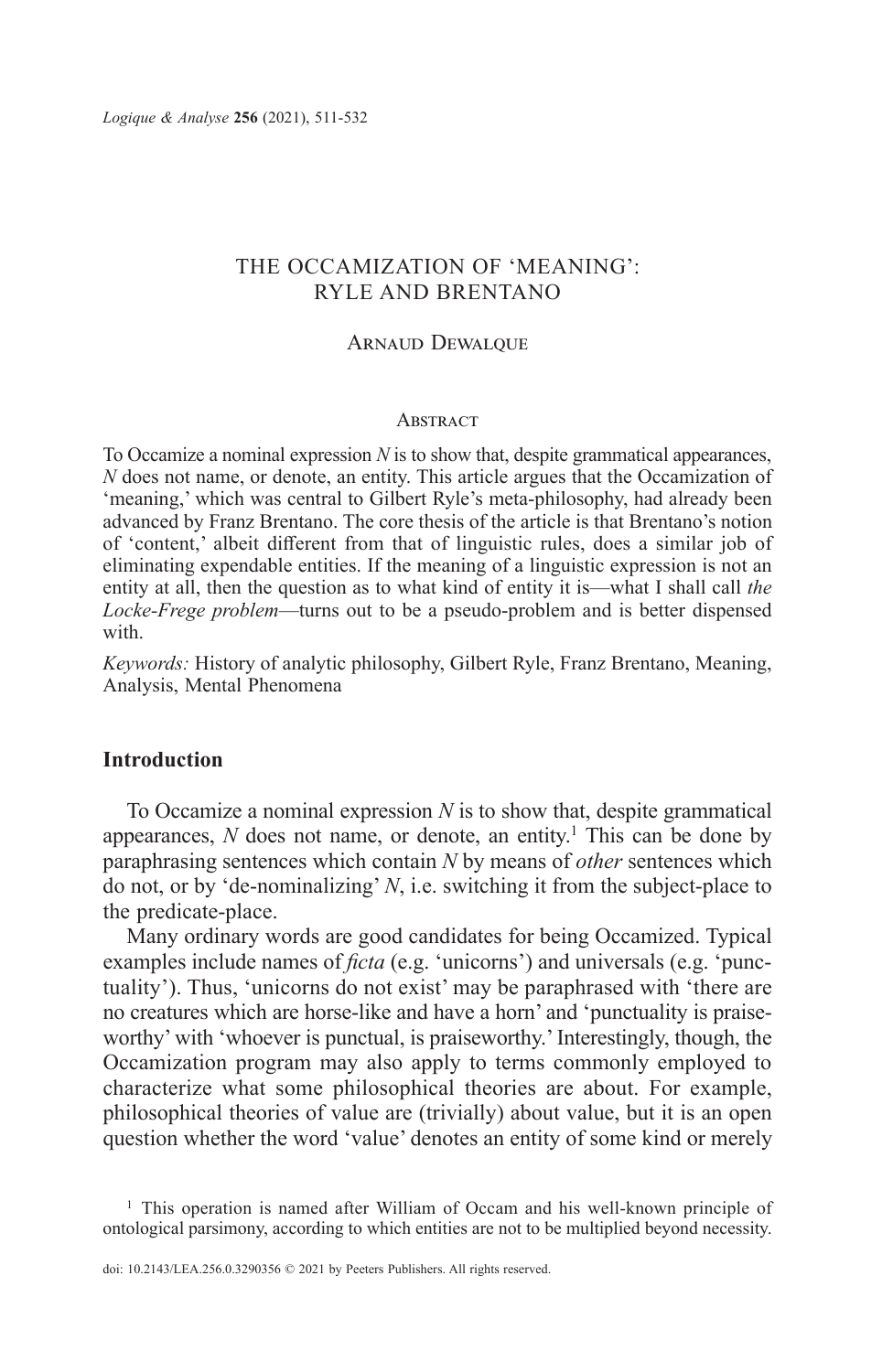# THE OCCAMIZATION OF 'MEANING': RYLE AND BRENTANO

#### ARNAUD DEWALQUE

#### **ABSTRACT**

To Occamize a nominal expression *N* is to show that, despite grammatical appearances, *N* does not name, or denote, an entity. This article argues that the Occamization of 'meaning,' which was central to Gilbert Ryle's meta-philosophy, had already been advanced by Franz Brentano. The core thesis of the article is that Brentano's notion of 'content,' albeit different from that of linguistic rules, does a similar job of eliminating expendable entities. If the meaning of a linguistic expression is not an entity at all, then the question as to what kind of entity it is—what I shall call *the Locke-Frege problem*—turns out to be a pseudo-problem and is better dispensed with.

*Keywords:* History of analytic philosophy, Gilbert Ryle, Franz Brentano, Meaning, Analysis, Mental Phenomena

## **Introduction**

To Occamize a nominal expression *N* is to show that, despite grammatical appearances,  $N$  does not name, or denote, an entity.<sup>1</sup> This can be done by paraphrasing sentences which contain *N* by means of *other* sentences which do not, or by 'de-nominalizing' *N*, i.e. switching it from the subject-place to the predicate-place.

Many ordinary words are good candidates for being Occamized. Typical examples include names of *ficta* (e.g. 'unicorns') and universals (e.g. 'punctuality'). Thus, 'unicorns do not exist' may be paraphrased with 'there are no creatures which are horse-like and have a horn' and 'punctuality is praiseworthy' with 'whoever is punctual, is praiseworthy.' Interestingly, though, the Occamization program may also apply to terms commonly employed to characterize what some philosophical theories are about. For example, philosophical theories of value are (trivially) about value, but it is an open question whether the word 'value' denotes an entity of some kind or merely

<sup>&</sup>lt;sup>1</sup> This operation is named after William of Occam and his well-known principle of ontological parsimony, according to which entities are not to be multiplied beyond necessity.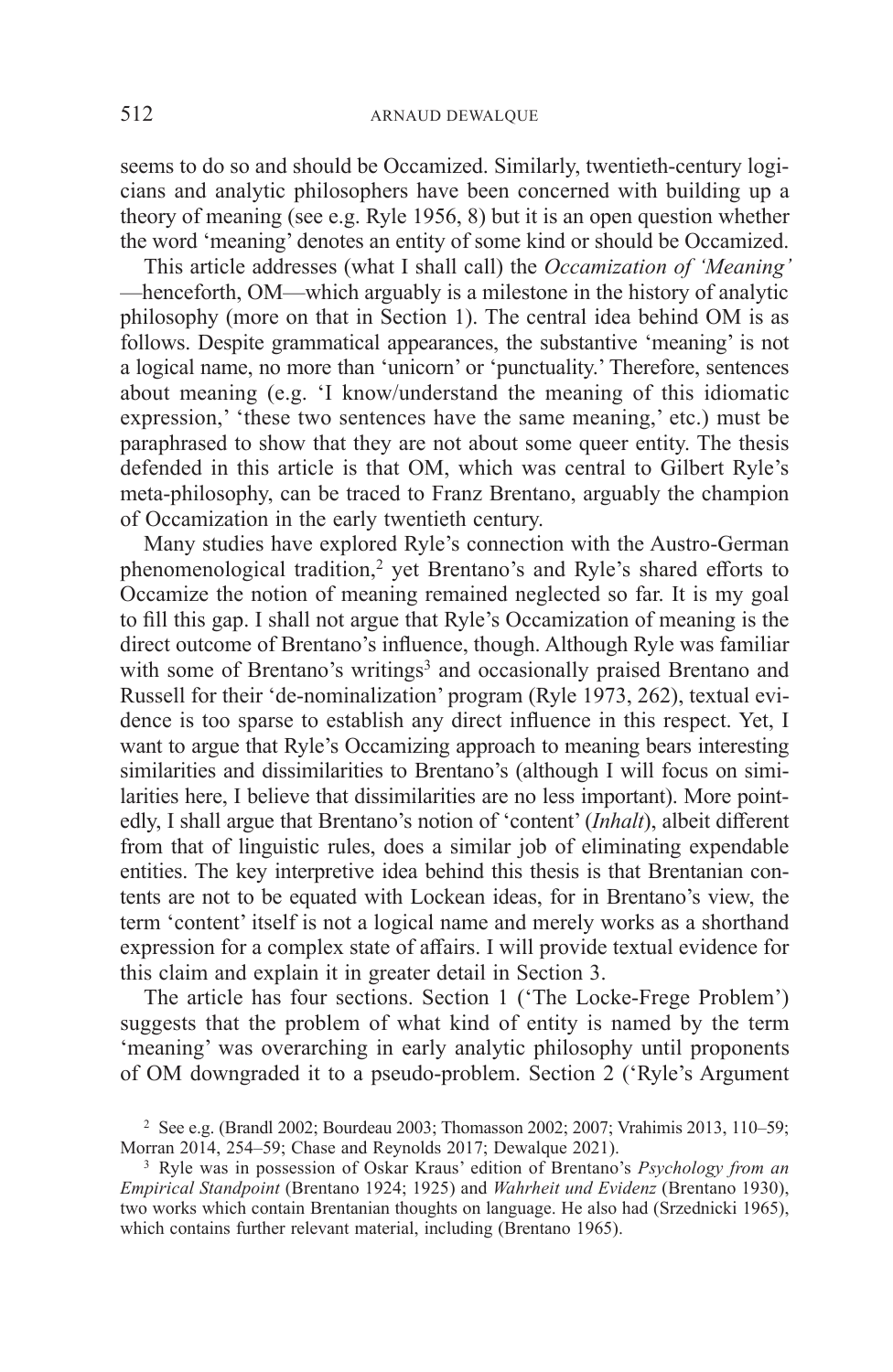seems to do so and should be Occamized. Similarly, twentieth-century logicians and analytic philosophers have been concerned with building up a theory of meaning (see e.g. Ryle 1956, 8) but it is an open question whether the word 'meaning' denotes an entity of some kind or should be Occamized.

This article addresses (what I shall call) the *Occamization of 'Meaning'*  —henceforth, OM—which arguably is a milestone in the history of analytic philosophy (more on that in Section 1). The central idea behind OM is as follows. Despite grammatical appearances, the substantive 'meaning' is not a logical name, no more than 'unicorn' or 'punctuality.' Therefore, sentences about meaning (e.g. 'I know/understand the meaning of this idiomatic expression,' 'these two sentences have the same meaning,' etc.) must be paraphrased to show that they are not about some queer entity. The thesis defended in this article is that OM, which was central to Gilbert Ryle's meta-philosophy, can be traced to Franz Brentano, arguably the champion of Occamization in the early twentieth century.

Many studies have explored Ryle's connection with the Austro-German phenomenological tradition,<sup>2</sup> yet Brentano's and Ryle's shared efforts to Occamize the notion of meaning remained neglected so far. It is my goal to fill this gap. I shall not argue that Ryle's Occamization of meaning is the direct outcome of Brentano's influence, though. Although Ryle was familiar with some of Brentano's writings<sup>3</sup> and occasionally praised Brentano and Russell for their 'de-nominalization' program (Ryle 1973, 262), textual evidence is too sparse to establish any direct influence in this respect. Yet, I want to argue that Ryle's Occamizing approach to meaning bears interesting similarities and dissimilarities to Brentano's (although I will focus on similarities here, I believe that dissimilarities are no less important). More pointedly, I shall argue that Brentano's notion of 'content' (*Inhalt*), albeit different from that of linguistic rules, does a similar job of eliminating expendable entities. The key interpretive idea behind this thesis is that Brentanian contents are not to be equated with Lockean ideas, for in Brentano's view, the term 'content' itself is not a logical name and merely works as a shorthand expression for a complex state of affairs. I will provide textual evidence for this claim and explain it in greater detail in Section 3.

The article has four sections. Section 1 ('The Locke-Frege Problem') suggests that the problem of what kind of entity is named by the term 'meaning' was overarching in early analytic philosophy until proponents of OM downgraded it to a pseudo-problem. Section 2 ('Ryle's Argument

<sup>2</sup> See e.g. (Brandl 2002; Bourdeau 2003; Thomasson 2002; 2007; Vrahimis 2013, 110–59; Morran 2014, 254–59; Chase and Reynolds 2017; Dewalque 2021).

<sup>3</sup> Ryle was in possession of Oskar Kraus' edition of Brentano's *Psychology from an Empirical Standpoint* (Brentano 1924; 1925) and *Wahrheit und Evidenz* (Brentano 1930), two works which contain Brentanian thoughts on language. He also had (Srzednicki 1965), which contains further relevant material, including (Brentano 1965).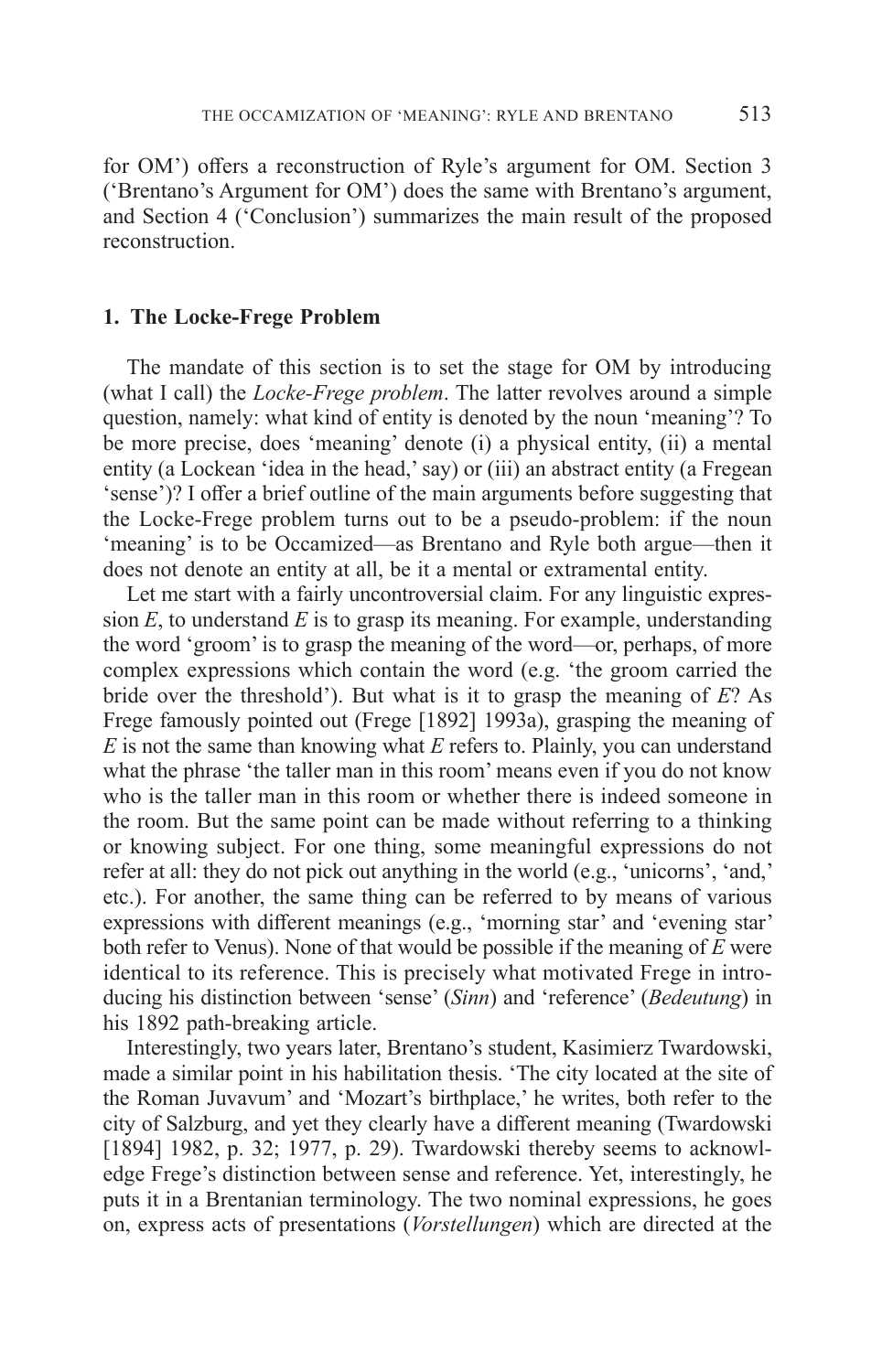for OM') offers a reconstruction of Ryle's argument for OM. Section 3 ('Brentano's Argument for OM') does the same with Brentano's argument, and Section 4 ('Conclusion') summarizes the main result of the proposed reconstruction.

### **1. The Locke-Frege Problem**

The mandate of this section is to set the stage for OM by introducing (what I call) the *Locke-Frege problem*. The latter revolves around a simple question, namely: what kind of entity is denoted by the noun 'meaning'? To be more precise, does 'meaning' denote (i) a physical entity, (ii) a mental entity (a Lockean 'idea in the head,' say) or (iii) an abstract entity (a Fregean 'sense')? I offer a brief outline of the main arguments before suggesting that the Locke-Frege problem turns out to be a pseudo-problem: if the noun 'meaning' is to be Occamized—as Brentano and Ryle both argue—then it does not denote an entity at all, be it a mental or extramental entity.

Let me start with a fairly uncontroversial claim. For any linguistic expression *E*, to understand *E* is to grasp its meaning. For example, understanding the word 'groom' is to grasp the meaning of the word—or, perhaps, of more complex expressions which contain the word (e.g. 'the groom carried the bride over the threshold'). But what is it to grasp the meaning of *E*? As Frege famously pointed out (Frege [1892] 1993a), grasping the meaning of *E* is not the same than knowing what *E* refers to. Plainly, you can understand what the phrase 'the taller man in this room' means even if you do not know who is the taller man in this room or whether there is indeed someone in the room. But the same point can be made without referring to a thinking or knowing subject. For one thing, some meaningful expressions do not refer at all: they do not pick out anything in the world (e.g., 'unicorns', 'and,' etc.). For another, the same thing can be referred to by means of various expressions with different meanings (e.g., 'morning star' and 'evening star' both refer to Venus). None of that would be possible if the meaning of *E* were identical to its reference. This is precisely what motivated Frege in introducing his distinction between 'sense' (*Sinn*) and 'reference' (*Bedeutung*) in his 1892 path-breaking article.

Interestingly, two years later, Brentano's student, Kasimierz Twardowski, made a similar point in his habilitation thesis. 'The city located at the site of the Roman Juvavum' and 'Mozart's birthplace,' he writes, both refer to the city of Salzburg, and yet they clearly have a different meaning (Twardowski [1894] 1982, p. 32; 1977, p. 29). Twardowski thereby seems to acknowledge Frege's distinction between sense and reference. Yet, interestingly, he puts it in a Brentanian terminology. The two nominal expressions, he goes on, express acts of presentations (*Vorstellungen*) which are directed at the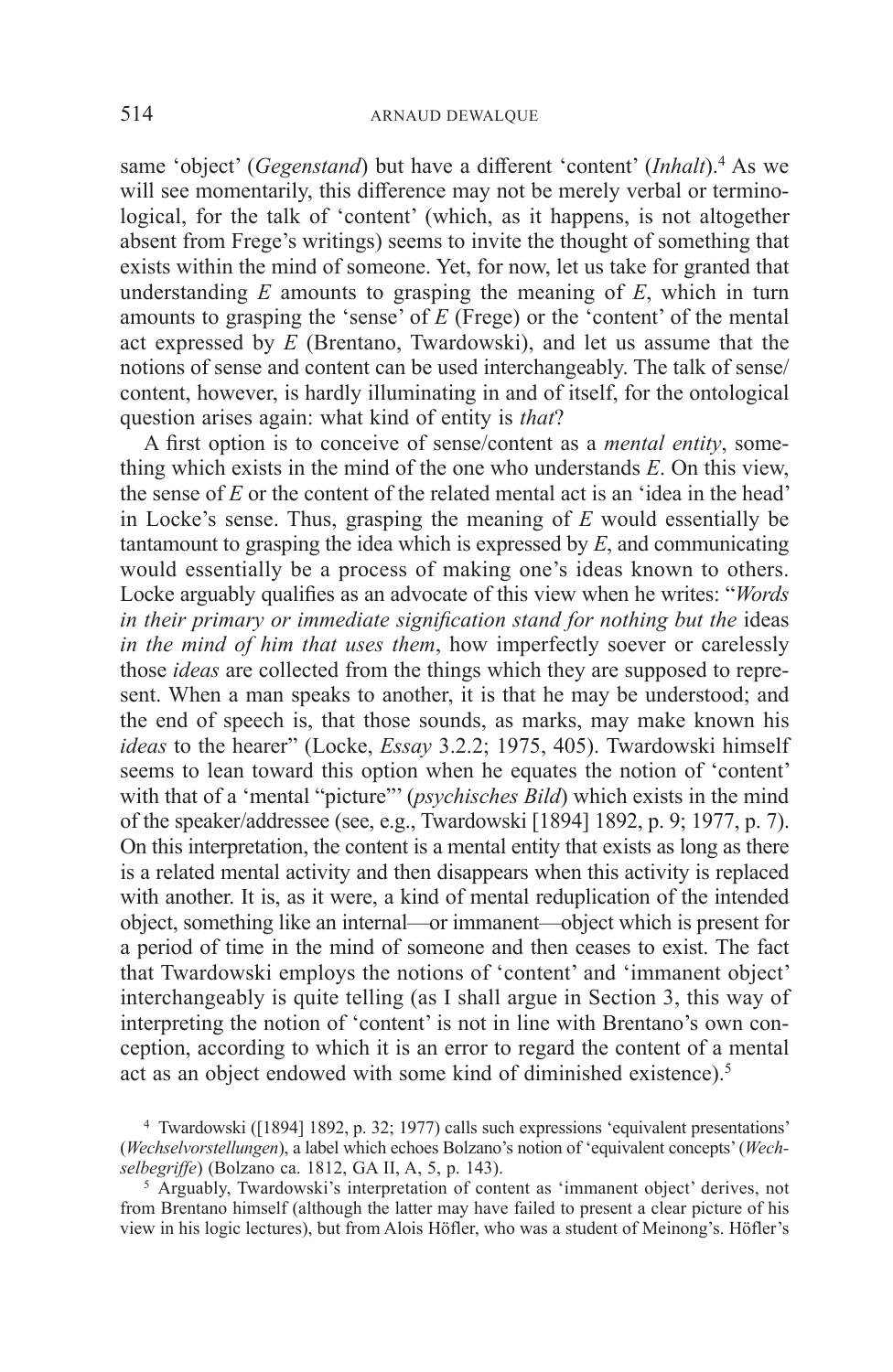same 'object' (*Gegenstand*) but have a different 'content' (*Inhalt*).4 As we will see momentarily, this difference may not be merely verbal or terminological, for the talk of 'content' (which, as it happens, is not altogether absent from Frege's writings) seems to invite the thought of something that exists within the mind of someone. Yet, for now, let us take for granted that understanding *E* amounts to grasping the meaning of *E*, which in turn amounts to grasping the 'sense' of *E* (Frege) or the 'content' of the mental act expressed by *E* (Brentano, Twardowski), and let us assume that the notions of sense and content can be used interchangeably. The talk of sense/ content, however, is hardly illuminating in and of itself, for the ontological question arises again: what kind of entity is *that*?

A first option is to conceive of sense/content as a *mental entity*, something which exists in the mind of the one who understands *E*. On this view, the sense of *E* or the content of the related mental act is an 'idea in the head' in Locke's sense. Thus, grasping the meaning of *E* would essentially be tantamount to grasping the idea which is expressed by *E*, and communicating would essentially be a process of making one's ideas known to others. Locke arguably qualifies as an advocate of this view when he writes: "*Words in their primary or immediate signification stand for nothing but the ideas in the mind of him that uses them*, how imperfectly soever or carelessly those *ideas* are collected from the things which they are supposed to represent. When a man speaks to another, it is that he may be understood; and the end of speech is, that those sounds, as marks, may make known his *ideas* to the hearer" (Locke, *Essay* 3.2.2; 1975, 405). Twardowski himself seems to lean toward this option when he equates the notion of 'content' with that of a 'mental "picture"' (*psychisches Bild*) which exists in the mind of the speaker/addressee (see, e.g., Twardowski [1894] 1892, p. 9; 1977, p. 7). On this interpretation, the content is a mental entity that exists as long as there is a related mental activity and then disappears when this activity is replaced with another. It is, as it were, a kind of mental reduplication of the intended object, something like an internal—or immanent—object which is present for a period of time in the mind of someone and then ceases to exist. The fact that Twardowski employs the notions of 'content' and 'immanent object' interchangeably is quite telling (as I shall argue in Section 3, this way of interpreting the notion of 'content' is not in line with Brentano's own conception, according to which it is an error to regard the content of a mental act as an object endowed with some kind of diminished existence).<sup>5</sup>

<sup>4</sup> Twardowski ([1894] 1892, p. 32; 1977) calls such expressions 'equivalent presentations' (*Wechselvorstellungen*), a label which echoes Bolzano's notion of 'equivalent concepts' (*Wechselbegriffe*) (Bolzano ca. 1812, GA II, A, 5, p. 143).

<sup>5</sup> Arguably, Twardowski's interpretation of content as 'immanent object' derives, not from Brentano himself (although the latter may have failed to present a clear picture of his view in his logic lectures), but from Alois Höfler, who was a student of Meinong's. Höfler's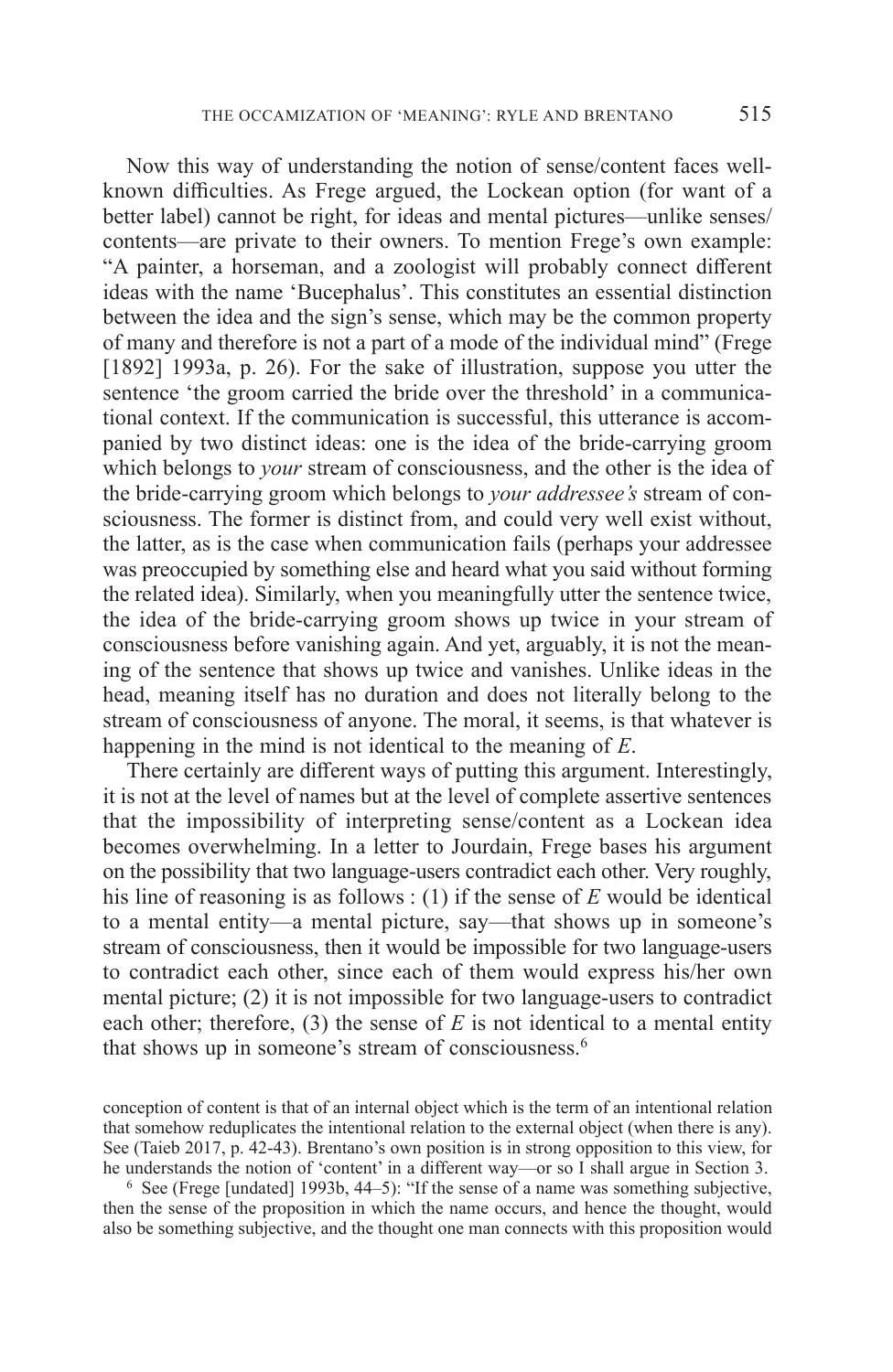Now this way of understanding the notion of sense/content faces wellknown difficulties. As Frege argued, the Lockean option (for want of a better label) cannot be right, for ideas and mental pictures—unlike senses/ contents—are private to their owners. To mention Frege's own example: "A painter, a horseman, and a zoologist will probably connect different ideas with the name 'Bucephalus'. This constitutes an essential distinction between the idea and the sign's sense, which may be the common property of many and therefore is not a part of a mode of the individual mind" (Frege [1892] 1993a, p. 26). For the sake of illustration, suppose you utter the sentence 'the groom carried the bride over the threshold' in a communicational context. If the communication is successful, this utterance is accompanied by two distinct ideas: one is the idea of the bride-carrying groom which belongs to *your* stream of consciousness, and the other is the idea of the bride-carrying groom which belongs to *your addressee's* stream of consciousness. The former is distinct from, and could very well exist without, the latter, as is the case when communication fails (perhaps your addressee was preoccupied by something else and heard what you said without forming the related idea). Similarly, when you meaningfully utter the sentence twice, the idea of the bride-carrying groom shows up twice in your stream of consciousness before vanishing again. And yet, arguably, it is not the meaning of the sentence that shows up twice and vanishes. Unlike ideas in the head, meaning itself has no duration and does not literally belong to the stream of consciousness of anyone. The moral, it seems, is that whatever is happening in the mind is not identical to the meaning of *E*.

There certainly are different ways of putting this argument. Interestingly, it is not at the level of names but at the level of complete assertive sentences that the impossibility of interpreting sense/content as a Lockean idea becomes overwhelming. In a letter to Jourdain, Frege bases his argument on the possibility that two language-users contradict each other. Very roughly, his line of reasoning is as follows : (1) if the sense of *E* would be identical to a mental entity—a mental picture, say—that shows up in someone's stream of consciousness, then it would be impossible for two language-users to contradict each other, since each of them would express his/her own mental picture; (2) it is not impossible for two language-users to contradict each other; therefore,  $(3)$  the sense of  $E$  is not identical to a mental entity that shows up in someone's stream of consciousness.6

conception of content is that of an internal object which is the term of an intentional relation that somehow reduplicates the intentional relation to the external object (when there is any). See (Taieb 2017, p. 42-43). Brentano's own position is in strong opposition to this view, for he understands the notion of 'content' in a different way—or so I shall argue in Section 3.

<sup>6</sup> See (Frege [undated] 1993b, 44–5): "If the sense of a name was something subjective, then the sense of the proposition in which the name occurs, and hence the thought, would also be something subjective, and the thought one man connects with this proposition would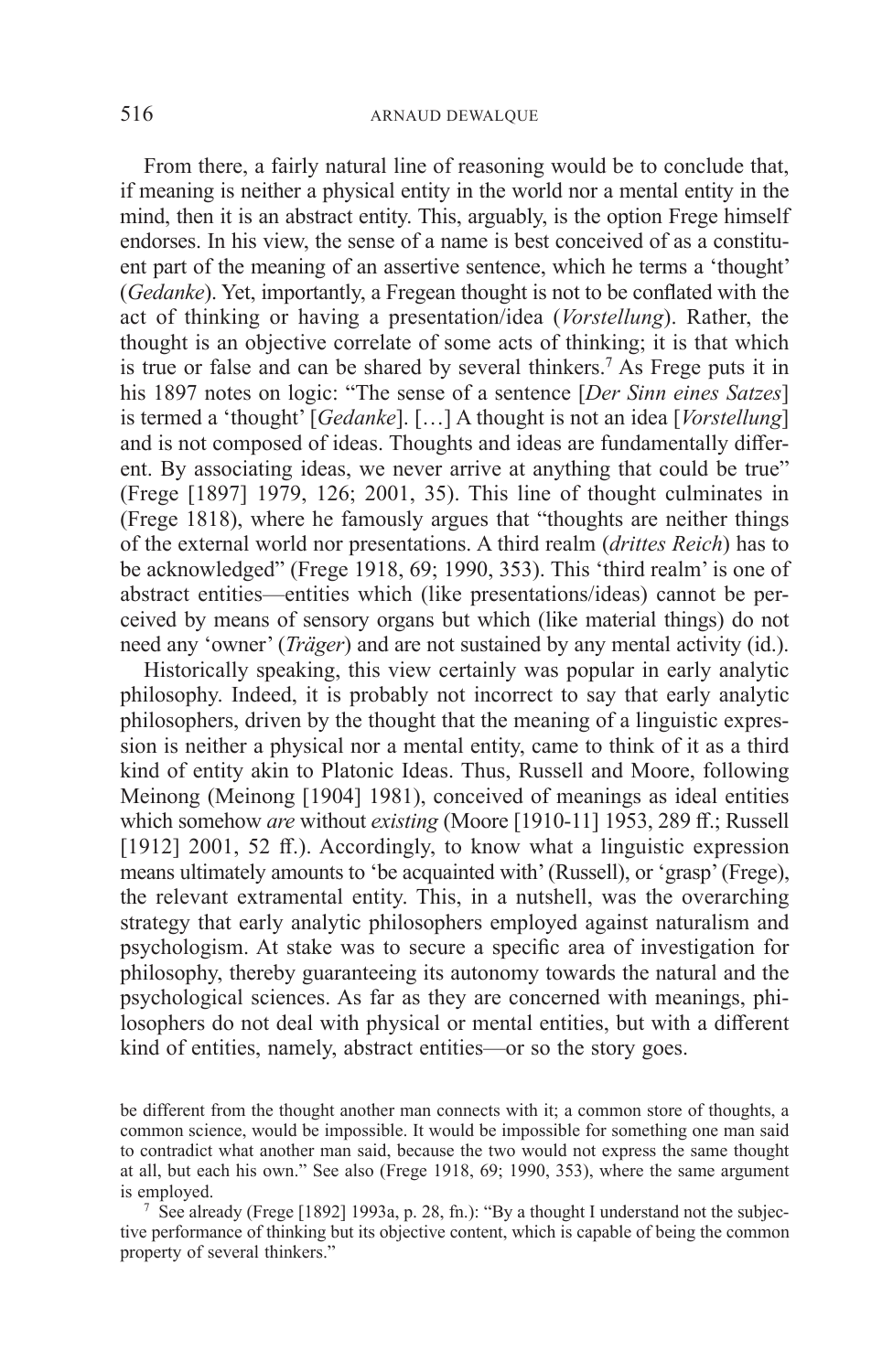From there, a fairly natural line of reasoning would be to conclude that, if meaning is neither a physical entity in the world nor a mental entity in the mind, then it is an abstract entity. This, arguably, is the option Frege himself endorses. In his view, the sense of a name is best conceived of as a constituent part of the meaning of an assertive sentence, which he terms a 'thought' (*Gedanke*). Yet, importantly, a Fregean thought is not to be conflated with the act of thinking or having a presentation/idea (*Vorstellung*). Rather, the thought is an objective correlate of some acts of thinking; it is that which is true or false and can be shared by several thinkers.<sup>7</sup> As Frege puts it in his 1897 notes on logic: "The sense of a sentence [*Der Sinn eines Satzes*] is termed a 'thought' [*Gedanke*]. […] A thought is not an idea [*Vorstellung*] and is not composed of ideas. Thoughts and ideas are fundamentally different. By associating ideas, we never arrive at anything that could be true" (Frege [1897] 1979, 126; 2001, 35). This line of thought culminates in (Frege 1818), where he famously argues that "thoughts are neither things of the external world nor presentations. A third realm (*drittes Reich*) has to be acknowledged" (Frege 1918, 69; 1990, 353). This 'third realm' is one of abstract entities—entities which (like presentations/ideas) cannot be perceived by means of sensory organs but which (like material things) do not need any 'owner' (*Träger*) and are not sustained by any mental activity (id.).

Historically speaking, this view certainly was popular in early analytic philosophy. Indeed, it is probably not incorrect to say that early analytic philosophers, driven by the thought that the meaning of a linguistic expression is neither a physical nor a mental entity, came to think of it as a third kind of entity akin to Platonic Ideas. Thus, Russell and Moore, following Meinong (Meinong [1904] 1981), conceived of meanings as ideal entities which somehow *are* without *existing* (Moore [1910-11] 1953, 289 ff.; Russell [1912] 2001, 52 ff.). Accordingly, to know what a linguistic expression means ultimately amounts to 'be acquainted with' (Russell), or 'grasp' (Frege), the relevant extramental entity. This, in a nutshell, was the overarching strategy that early analytic philosophers employed against naturalism and psychologism. At stake was to secure a specific area of investigation for philosophy, thereby guaranteeing its autonomy towards the natural and the psychological sciences. As far as they are concerned with meanings, philosophers do not deal with physical or mental entities, but with a different kind of entities, namely, abstract entities—or so the story goes.

be different from the thought another man connects with it; a common store of thoughts, a common science, would be impossible. It would be impossible for something one man said to contradict what another man said, because the two would not express the same thought at all, but each his own." See also (Frege 1918, 69; 1990, 353), where the same argument is employed.

<sup>7</sup> See already (Frege [1892] 1993a, p. 28, fn.): "By a thought I understand not the subjective performance of thinking but its objective content, which is capable of being the common property of several thinkers."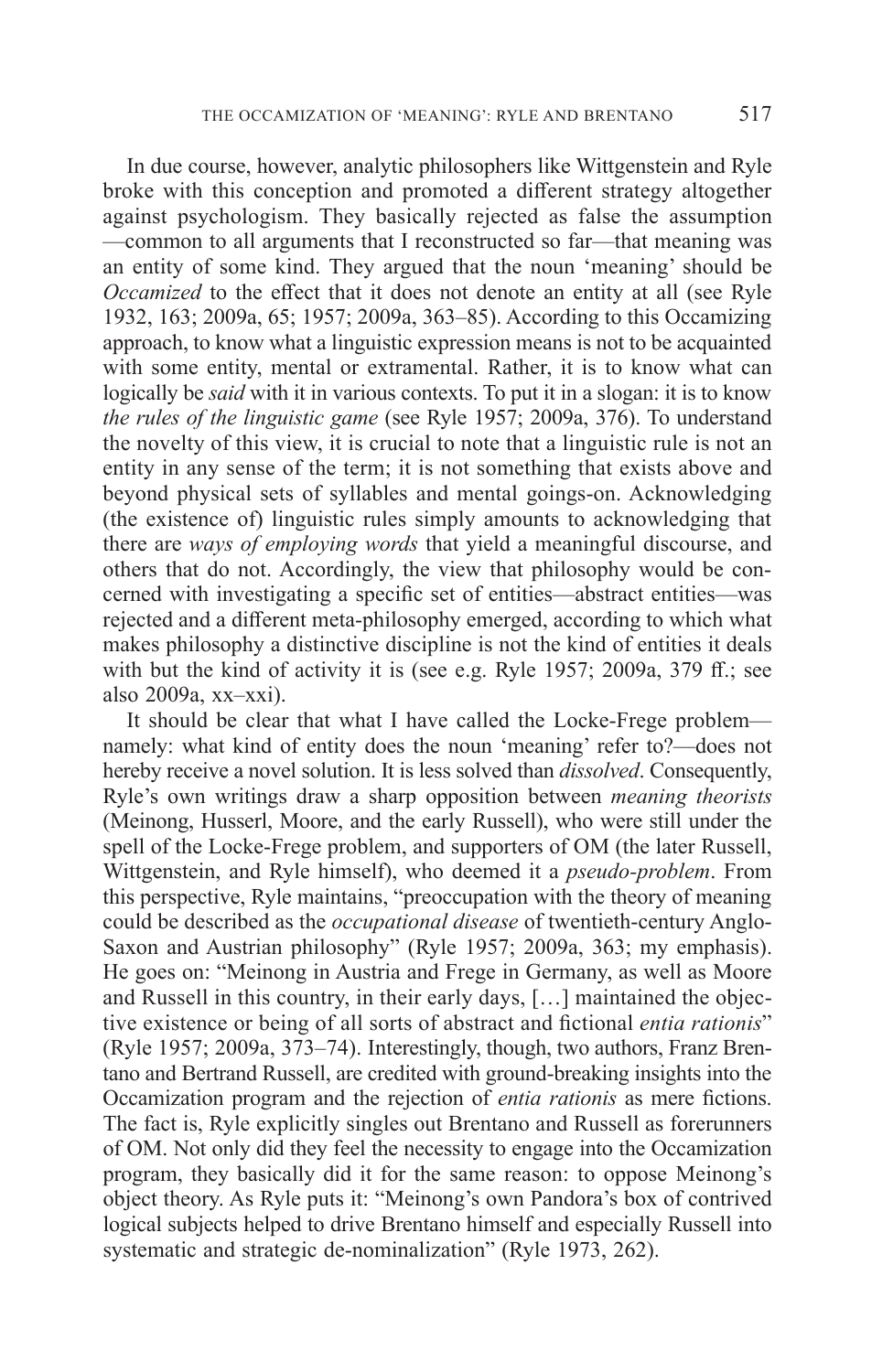In due course, however, analytic philosophers like Wittgenstein and Ryle broke with this conception and promoted a different strategy altogether against psychologism. They basically rejected as false the assumption —common to all arguments that I reconstructed so far—that meaning was an entity of some kind. They argued that the noun 'meaning' should be *Occamized* to the effect that it does not denote an entity at all (see Ryle 1932, 163; 2009a, 65; 1957; 2009a, 363–85). According to this Occamizing approach, to know what a linguistic expression means is not to be acquainted with some entity, mental or extramental. Rather, it is to know what can logically be *said* with it in various contexts. To put it in a slogan: it is to know *the rules of the linguistic game* (see Ryle 1957; 2009a, 376). To understand the novelty of this view, it is crucial to note that a linguistic rule is not an entity in any sense of the term; it is not something that exists above and beyond physical sets of syllables and mental goings-on. Acknowledging (the existence of) linguistic rules simply amounts to acknowledging that there are *ways of employing words* that yield a meaningful discourse, and others that do not. Accordingly, the view that philosophy would be concerned with investigating a specific set of entities—abstract entities—was rejected and a different meta-philosophy emerged, according to which what makes philosophy a distinctive discipline is not the kind of entities it deals with but the kind of activity it is (see e.g. Ryle 1957; 2009a, 379 ff.; see also 2009a, xx–xxi).

It should be clear that what I have called the Locke-Frege problem namely: what kind of entity does the noun 'meaning' refer to?—does not hereby receive a novel solution. It is less solved than *dissolved*. Consequently, Ryle's own writings draw a sharp opposition between *meaning theorists* (Meinong, Husserl, Moore, and the early Russell), who were still under the spell of the Locke-Frege problem, and supporters of OM (the later Russell, Wittgenstein, and Ryle himself), who deemed it a *pseudo-problem*. From this perspective, Ryle maintains, "preoccupation with the theory of meaning could be described as the *occupational disease* of twentieth-century Anglo-Saxon and Austrian philosophy" (Ryle 1957; 2009a, 363; my emphasis). He goes on: "Meinong in Austria and Frege in Germany, as well as Moore and Russell in this country, in their early days, […] maintained the objective existence or being of all sorts of abstract and fictional *entia rationis*" (Ryle 1957; 2009a, 373–74). Interestingly, though, two authors, Franz Brentano and Bertrand Russell, are credited with ground-breaking insights into the Occamization program and the rejection of *entia rationis* as mere fictions. The fact is, Ryle explicitly singles out Brentano and Russell as forerunners of OM. Not only did they feel the necessity to engage into the Occamization program, they basically did it for the same reason: to oppose Meinong's object theory. As Ryle puts it: "Meinong's own Pandora's box of contrived logical subjects helped to drive Brentano himself and especially Russell into systematic and strategic de-nominalization" (Ryle 1973, 262).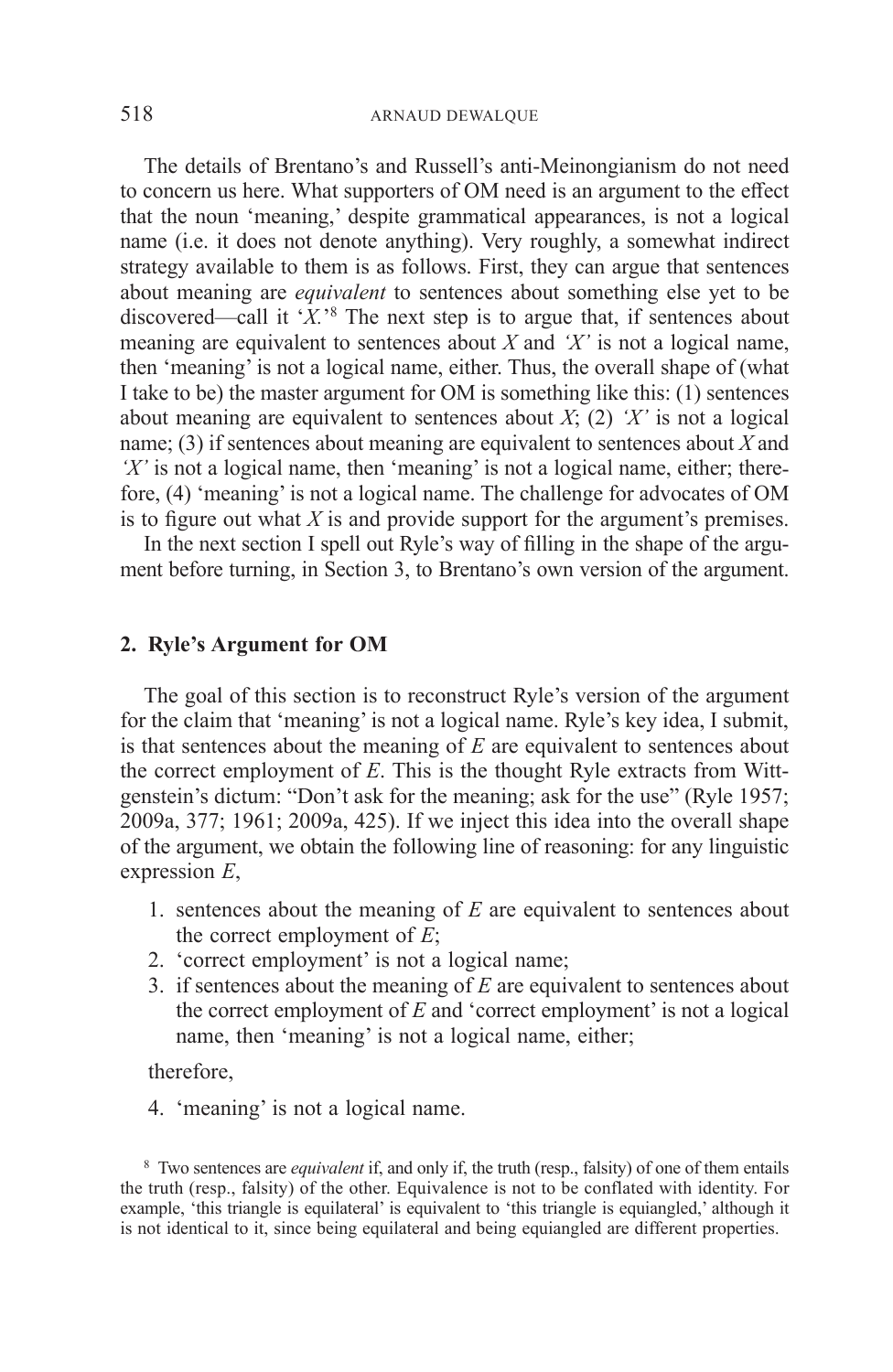The details of Brentano's and Russell's anti-Meinongianism do not need to concern us here. What supporters of OM need is an argument to the effect that the noun 'meaning,' despite grammatical appearances, is not a logical name (i.e. it does not denote anything). Very roughly, a somewhat indirect strategy available to them is as follows. First, they can argue that sentences about meaning are *equivalent* to sentences about something else yet to be discovered—call it '*X.*' 8 The next step is to argue that, if sentences about meaning are equivalent to sentences about  $\overline{X}$  and  $\overline{Y}$  is not a logical name, then 'meaning' is not a logical name, either. Thus, the overall shape of (what I take to be) the master argument for OM is something like this:  $(1)$  sentences about meaning are equivalent to sentences about *X*; (2) *'X'* is not a logical name; (3) if sentences about meaning are equivalent to sentences about *X* and *'X'* is not a logical name, then 'meaning' is not a logical name, either; therefore, (4) 'meaning' is not a logical name. The challenge for advocates of OM is to figure out what *X* is and provide support for the argument's premises.

In the next section I spell out Ryle's way of filling in the shape of the argument before turning, in Section 3, to Brentano's own version of the argument.

## **2. Ryle's Argument for OM**

The goal of this section is to reconstruct Ryle's version of the argument for the claim that 'meaning' is not a logical name. Ryle's key idea, I submit, is that sentences about the meaning of *E* are equivalent to sentences about the correct employment of *E*. This is the thought Ryle extracts from Wittgenstein's dictum: "Don't ask for the meaning; ask for the use" (Ryle 1957; 2009a, 377; 1961; 2009a, 425). If we inject this idea into the overall shape of the argument, we obtain the following line of reasoning: for any linguistic expression *E*,

- 1. sentences about the meaning of *E* are equivalent to sentences about the correct employment of *E*;
- 2. 'correct employment' is not a logical name;
- 3. if sentences about the meaning of  $E$  are equivalent to sentences about the correct employment of *E* and 'correct employment' is not a logical name, then 'meaning' is not a logical name, either;

therefore,

4. 'meaning' is not a logical name.

<sup>8</sup> Two sentences are *equivalent* if, and only if, the truth (resp., falsity) of one of them entails the truth (resp., falsity) of the other. Equivalence is not to be conflated with identity. For example, 'this triangle is equilateral' is equivalent to 'this triangle is equiangled,' although it is not identical to it, since being equilateral and being equiangled are different properties.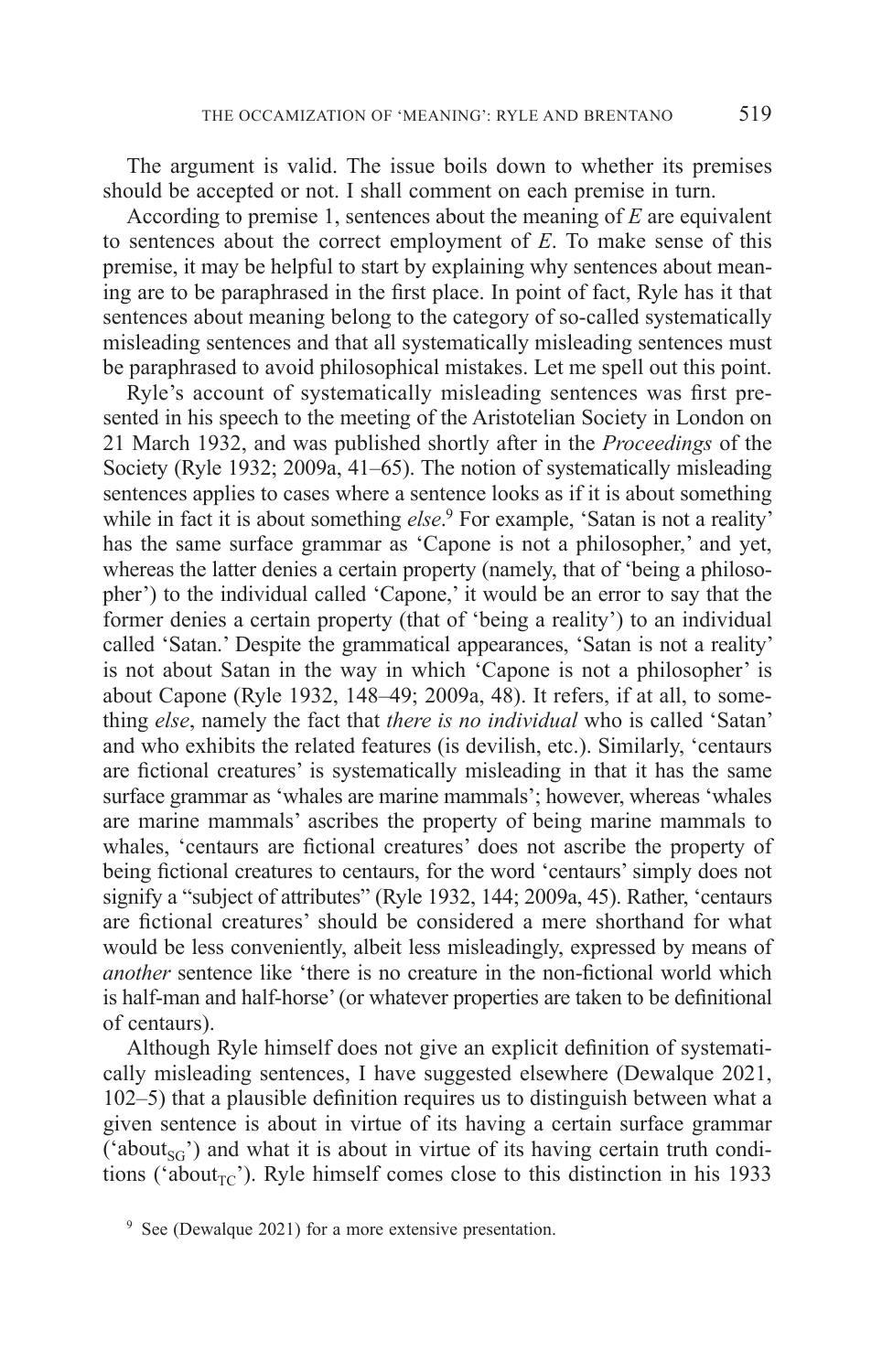The argument is valid. The issue boils down to whether its premises should be accepted or not. I shall comment on each premise in turn.

According to premise 1, sentences about the meaning of *E* are equivalent to sentences about the correct employment of *E*. To make sense of this premise, it may be helpful to start by explaining why sentences about meaning are to be paraphrased in the first place. In point of fact, Ryle has it that sentences about meaning belong to the category of so-called systematically misleading sentences and that all systematically misleading sentences must be paraphrased to avoid philosophical mistakes. Let me spell out this point.

Ryle's account of systematically misleading sentences was first presented in his speech to the meeting of the Aristotelian Society in London on 21 March 1932, and was published shortly after in the *Proceedings* of the Society (Ryle 1932; 2009a, 41–65). The notion of systematically misleading sentences applies to cases where a sentence looks as if it is about something while in fact it is about something *else*. 9 For example, 'Satan is not a reality' has the same surface grammar as 'Capone is not a philosopher,' and yet, whereas the latter denies a certain property (namely, that of 'being a philosopher') to the individual called 'Capone,' it would be an error to say that the former denies a certain property (that of 'being a reality') to an individual called 'Satan.' Despite the grammatical appearances, 'Satan is not a reality' is not about Satan in the way in which 'Capone is not a philosopher' is about Capone (Ryle 1932, 148–49; 2009a, 48). It refers, if at all, to something *else*, namely the fact that *there is no individual* who is called 'Satan' and who exhibits the related features (is devilish, etc.). Similarly, 'centaurs are fictional creatures' is systematically misleading in that it has the same surface grammar as 'whales are marine mammals'; however, whereas 'whales are marine mammals' ascribes the property of being marine mammals to whales, 'centaurs are fictional creatures' does not ascribe the property of being fictional creatures to centaurs, for the word 'centaurs' simply does not signify a "subject of attributes" (Ryle 1932, 144; 2009a, 45). Rather, 'centaurs are fictional creatures' should be considered a mere shorthand for what would be less conveniently, albeit less misleadingly, expressed by means of *another* sentence like 'there is no creature in the non-fictional world which is half-man and half-horse' (or whatever properties are taken to be definitional of centaurs).

Although Ryle himself does not give an explicit definition of systematically misleading sentences, I have suggested elsewhere (Dewalque 2021, 102–5) that a plausible definition requires us to distinguish between what a given sentence is about in virtue of its having a certain surface grammar ('about<sub>sG</sub>') and what it is about in virtue of its having certain truth conditions ('about<sub>TC</sub>'). Ryle himself comes close to this distinction in his 1933

<sup>&</sup>lt;sup>9</sup> See (Dewalque 2021) for a more extensive presentation.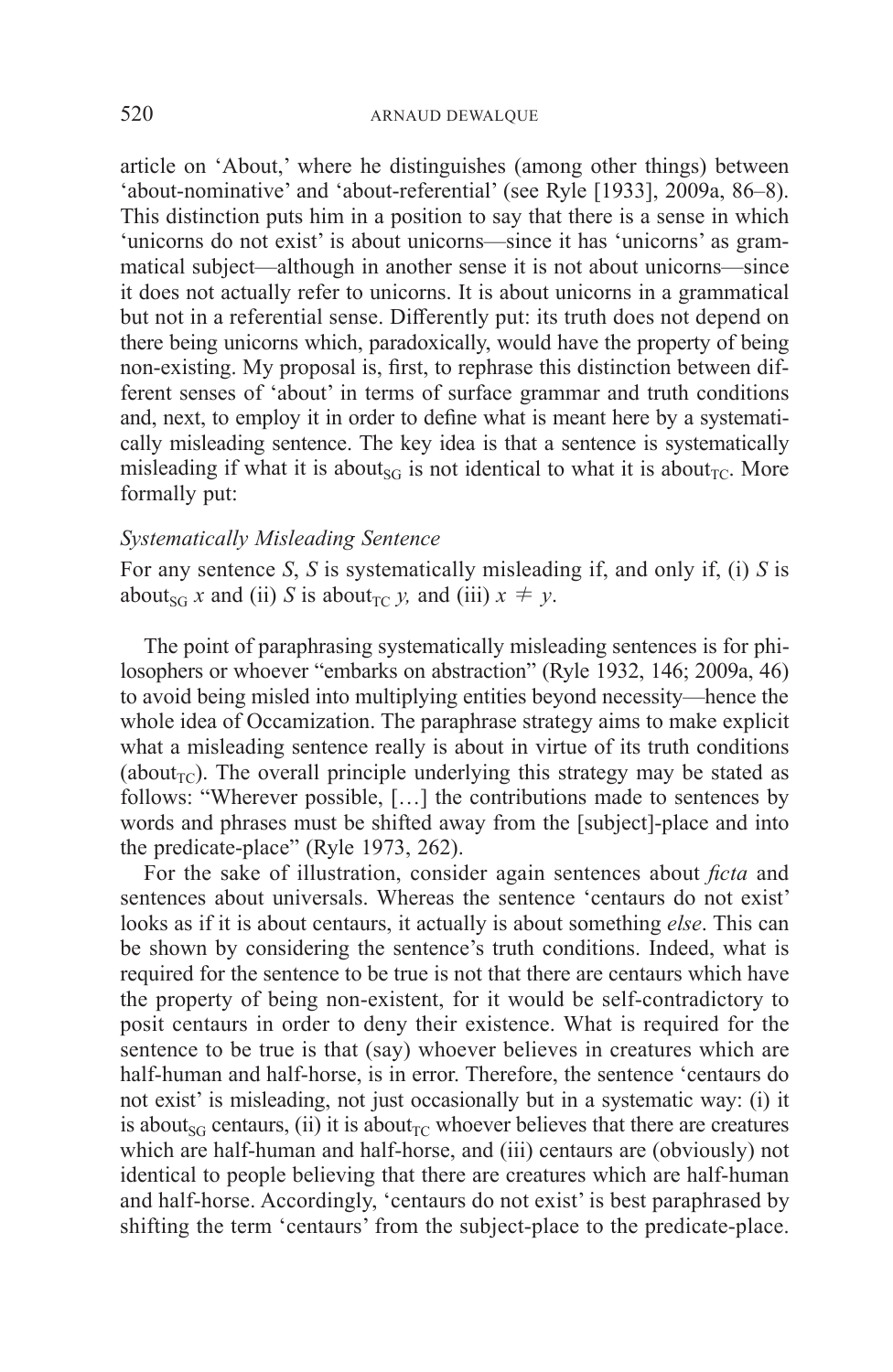article on 'About,' where he distinguishes (among other things) between 'about-nominative' and 'about-referential' (see Ryle [1933], 2009a, 86–8). This distinction puts him in a position to say that there is a sense in which 'unicorns do not exist' is about unicorns—since it has 'unicorns' as grammatical subject—although in another sense it is not about unicorns—since it does not actually refer to unicorns. It is about unicorns in a grammatical but not in a referential sense. Differently put: its truth does not depend on there being unicorns which, paradoxically, would have the property of being non-existing. My proposal is, first, to rephrase this distinction between different senses of 'about' in terms of surface grammar and truth conditions and, next, to employ it in order to define what is meant here by a systematically misleading sentence. The key idea is that a sentence is systematically misleading if what it is about<sub>SG</sub> is not identical to what it is about<sub>TC</sub>. More formally put:

## *Systematically Misleading Sentence*

For any sentence *S*, *S* is systematically misleading if, and only if, (i) *S* is about<sub>SG</sub> *x* and (ii) *S* is about<sub>TC</sub> *y*, and (iii)  $x \neq y$ .

The point of paraphrasing systematically misleading sentences is for philosophers or whoever "embarks on abstraction" (Ryle 1932, 146; 2009a, 46) to avoid being misled into multiplying entities beyond necessity—hence the whole idea of Occamization. The paraphrase strategy aims to make explicit what a misleading sentence really is about in virtue of its truth conditions (about<sub>TC</sub>). The overall principle underlying this strategy may be stated as follows: "Wherever possible, […] the contributions made to sentences by words and phrases must be shifted away from the [subject]-place and into the predicate-place" (Ryle 1973, 262).

For the sake of illustration, consider again sentences about *ficta* and sentences about universals. Whereas the sentence 'centaurs do not exist' looks as if it is about centaurs, it actually is about something *else*. This can be shown by considering the sentence's truth conditions. Indeed, what is required for the sentence to be true is not that there are centaurs which have the property of being non-existent, for it would be self-contradictory to posit centaurs in order to deny their existence. What is required for the sentence to be true is that (say) whoever believes in creatures which are half-human and half-horse, is in error. Therefore, the sentence 'centaurs do not exist' is misleading, not just occasionally but in a systematic way: (i) it is about<sub>SG</sub> centaurs, (ii) it is about<sub>TG</sub> whoever believes that there are creatures which are half-human and half-horse, and (iii) centaurs are (obviously) not identical to people believing that there are creatures which are half-human and half-horse. Accordingly, 'centaurs do not exist' is best paraphrased by shifting the term 'centaurs' from the subject-place to the predicate-place.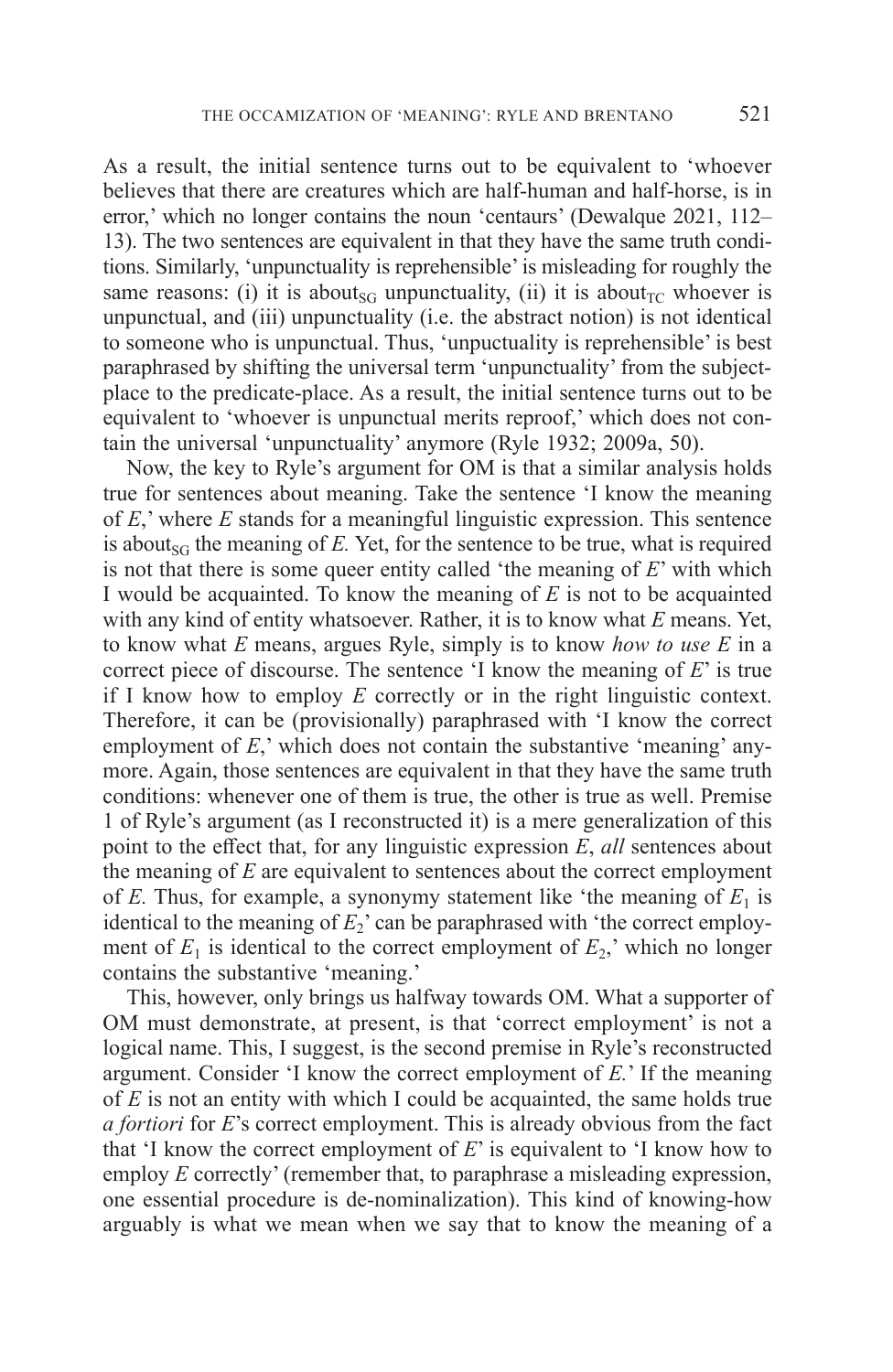As a result, the initial sentence turns out to be equivalent to 'whoever believes that there are creatures which are half-human and half-horse, is in error,' which no longer contains the noun 'centaurs' (Dewalque 2021, 112– 13). The two sentences are equivalent in that they have the same truth conditions. Similarly, 'unpunctuality is reprehensible' is misleading for roughly the same reasons: (i) it is about<sub>SG</sub> unpunctuality, (ii) it is about<sub>TC</sub> whoever is unpunctual, and (iii) unpunctuality (i.e. the abstract notion) is not identical to someone who is unpunctual. Thus, 'unpuctuality is reprehensible' is best paraphrased by shifting the universal term 'unpunctuality' from the subjectplace to the predicate-place. As a result, the initial sentence turns out to be equivalent to 'whoever is unpunctual merits reproof,' which does not contain the universal 'unpunctuality' anymore (Ryle 1932; 2009a, 50).

Now, the key to Ryle's argument for OM is that a similar analysis holds true for sentences about meaning. Take the sentence 'I know the meaning of *E*,' where *E* stands for a meaningful linguistic expression. This sentence is about<sub>sG</sub> the meaning of  $E$ . Yet, for the sentence to be true, what is required is not that there is some queer entity called 'the meaning of *E*' with which I would be acquainted. To know the meaning of *E* is not to be acquainted with any kind of entity whatsoever. Rather, it is to know what *E* means. Yet, to know what *E* means, argues Ryle, simply is to know *how to use E* in a correct piece of discourse. The sentence 'I know the meaning of *E*' is true if I know how to employ *E* correctly or in the right linguistic context. Therefore, it can be (provisionally) paraphrased with 'I know the correct employment of *E*,' which does not contain the substantive 'meaning' anymore. Again, those sentences are equivalent in that they have the same truth conditions: whenever one of them is true, the other is true as well. Premise 1 of Ryle's argument (as I reconstructed it) is a mere generalization of this point to the effect that, for any linguistic expression *E*, *all* sentences about the meaning of *E* are equivalent to sentences about the correct employment of *E*. Thus, for example, a synonymy statement like 'the meaning of  $E_1$  is identical to the meaning of  $E_2$ ' can be paraphrased with 'the correct employment of  $E_1$  is identical to the correct employment of  $E_2$ ,' which no longer contains the substantive 'meaning.'

This, however, only brings us halfway towards OM. What a supporter of OM must demonstrate, at present, is that 'correct employment' is not a logical name. This, I suggest, is the second premise in Ryle's reconstructed argument. Consider 'I know the correct employment of *E.*' If the meaning of *E* is not an entity with which I could be acquainted, the same holds true *a fortiori* for *E*'s correct employment. This is already obvious from the fact that 'I know the correct employment of *E*' is equivalent to 'I know how to employ *E* correctly' (remember that, to paraphrase a misleading expression, one essential procedure is de-nominalization). This kind of knowing-how arguably is what we mean when we say that to know the meaning of a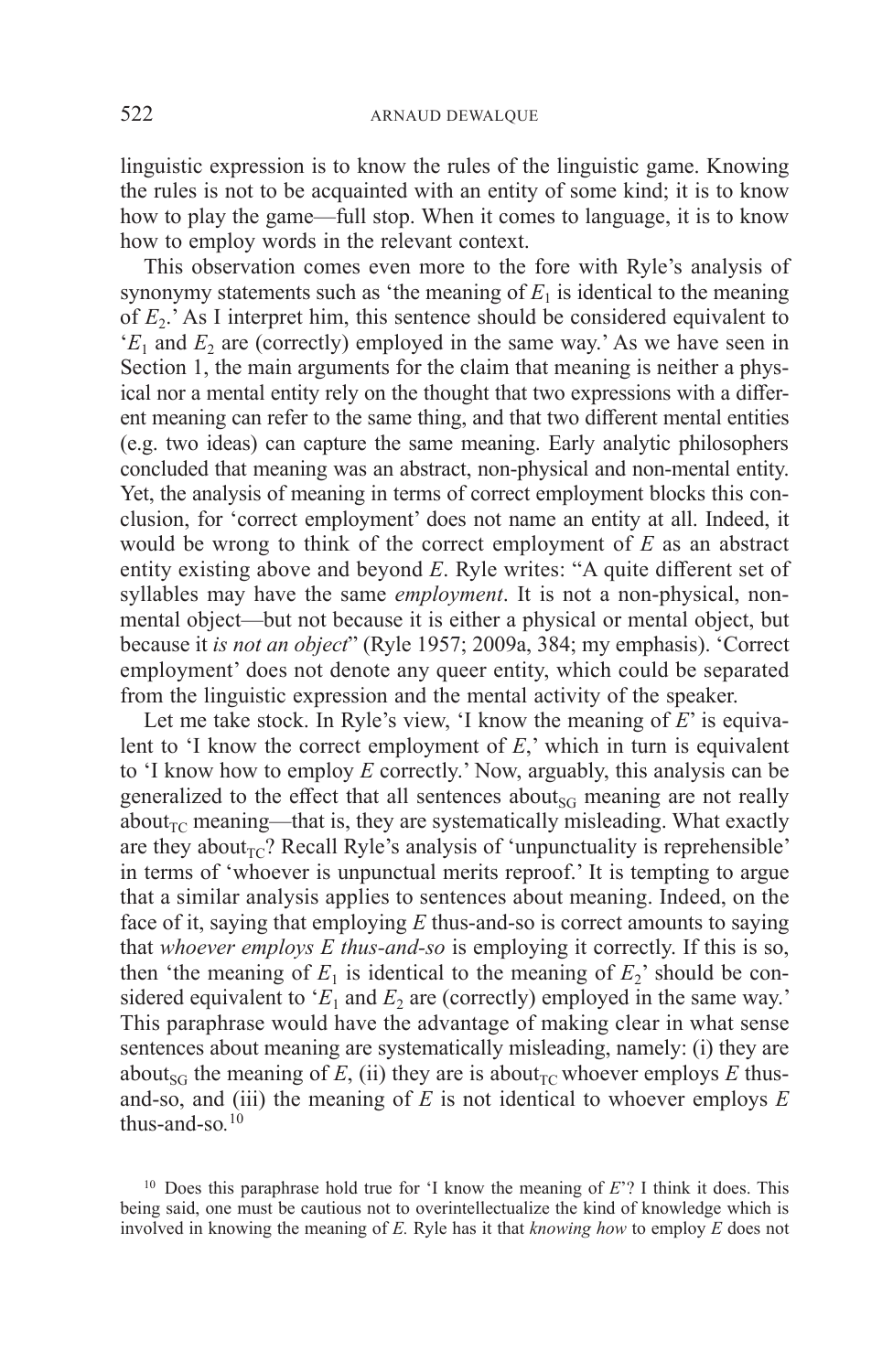linguistic expression is to know the rules of the linguistic game. Knowing the rules is not to be acquainted with an entity of some kind; it is to know how to play the game—full stop. When it comes to language, it is to know how to employ words in the relevant context.

This observation comes even more to the fore with Ryle's analysis of synonymy statements such as 'the meaning of  $E<sub>1</sub>$  is identical to the meaning of  $E_2$ .' As I interpret him, this sentence should be considered equivalent to  $E_1$  and  $E_2$  are (correctly) employed in the same way.' As we have seen in Section 1, the main arguments for the claim that meaning is neither a physical nor a mental entity rely on the thought that two expressions with a different meaning can refer to the same thing, and that two different mental entities (e.g. two ideas) can capture the same meaning. Early analytic philosophers concluded that meaning was an abstract, non-physical and non-mental entity. Yet, the analysis of meaning in terms of correct employment blocks this conclusion, for 'correct employment' does not name an entity at all. Indeed, it would be wrong to think of the correct employment of *E* as an abstract entity existing above and beyond *E*. Ryle writes: "A quite different set of syllables may have the same *employment*. It is not a non-physical, nonmental object—but not because it is either a physical or mental object, but because it *is not an object*" (Ryle 1957; 2009a, 384; my emphasis). 'Correct employment' does not denote any queer entity, which could be separated from the linguistic expression and the mental activity of the speaker.

Let me take stock. In Ryle's view, 'I know the meaning of *E*' is equivalent to 'I know the correct employment of *E*,' which in turn is equivalent to 'I know how to employ *E* correctly.' Now, arguably, this analysis can be generalized to the effect that all sentences about<sub>SG</sub> meaning are not really about<sub>TC</sub> meaning—that is, they are systematically misleading. What exactly are they about<sub>TC</sub>? Recall Ryle's analysis of 'unpunctuality is reprehensible' in terms of 'whoever is unpunctual merits reproof.' It is tempting to argue that a similar analysis applies to sentences about meaning. Indeed, on the face of it, saying that employing *E* thus-and-so is correct amounts to saying that *whoever employs E thus-and-so* is employing it correctly. If this is so, then 'the meaning of  $E_1$  is identical to the meaning of  $E_2$ ' should be considered equivalent to ' $E_1$  and  $E_2$  are (correctly) employed in the same way.' This paraphrase would have the advantage of making clear in what sense sentences about meaning are systematically misleading, namely: (i) they are about<sub>SG</sub> the meaning of  $E$ , (ii) they are is about<sub>TC</sub> whoever employs  $E$  thusand-so, and (iii) the meaning of *E* is not identical to whoever employs *E* thus-and-so*.* 10

<sup>10</sup> Does this paraphrase hold true for 'I know the meaning of *E*'? I think it does. This being said, one must be cautious not to overintellectualize the kind of knowledge which is involved in knowing the meaning of *E.* Ryle has it that *knowing how* to employ *E* does not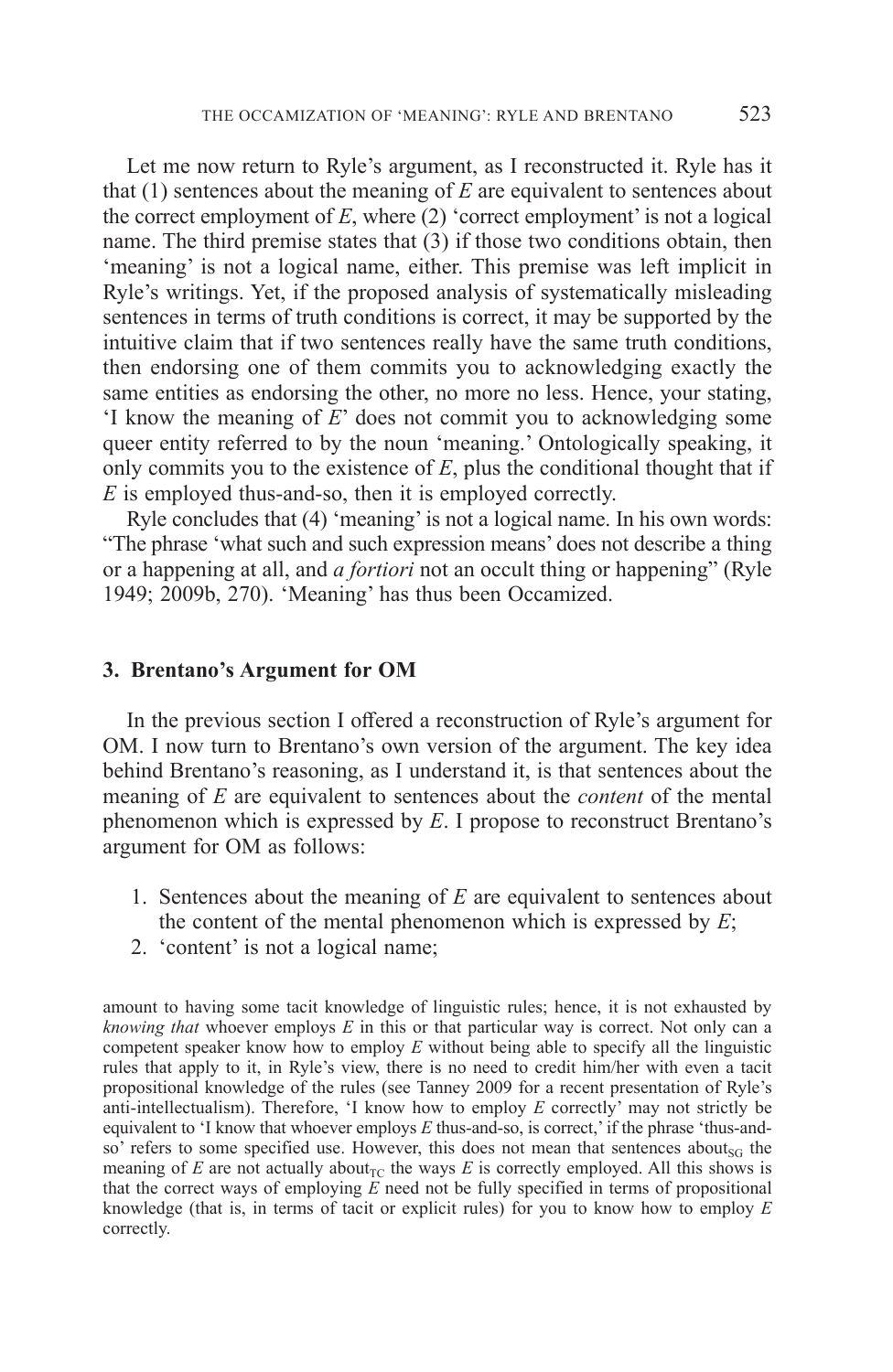Let me now return to Ryle's argument, as I reconstructed it. Ryle has it that (1) sentences about the meaning of *E* are equivalent to sentences about the correct employment of  $E$ , where  $(2)$  'correct employment' is not a logical name. The third premise states that (3) if those two conditions obtain, then 'meaning' is not a logical name, either. This premise was left implicit in Ryle's writings. Yet, if the proposed analysis of systematically misleading sentences in terms of truth conditions is correct, it may be supported by the intuitive claim that if two sentences really have the same truth conditions, then endorsing one of them commits you to acknowledging exactly the same entities as endorsing the other, no more no less. Hence, your stating, 'I know the meaning of *E*' does not commit you to acknowledging some queer entity referred to by the noun 'meaning.' Ontologically speaking, it only commits you to the existence of *E*, plus the conditional thought that if *E* is employed thus-and-so, then it is employed correctly.

Ryle concludes that (4) 'meaning' is not a logical name. In his own words: "The phrase 'what such and such expression means' does not describe a thing or a happening at all, and *a fortiori* not an occult thing or happening" (Ryle 1949; 2009b, 270). 'Meaning' has thus been Occamized.

### **3. Brentano's Argument for OM**

In the previous section I offered a reconstruction of Ryle's argument for OM. I now turn to Brentano's own version of the argument. The key idea behind Brentano's reasoning, as I understand it, is that sentences about the meaning of *E* are equivalent to sentences about the *content* of the mental phenomenon which is expressed by *E*. I propose to reconstruct Brentano's argument for OM as follows:

- 1. Sentences about the meaning of *E* are equivalent to sentences about the content of the mental phenomenon which is expressed by *E*;
- 2. 'content' is not a logical name;

amount to having some tacit knowledge of linguistic rules; hence, it is not exhausted by *knowing that* whoever employs *E* in this or that particular way is correct. Not only can a competent speaker know how to employ *E* without being able to specify all the linguistic rules that apply to it, in Ryle's view, there is no need to credit him/her with even a tacit propositional knowledge of the rules (see Tanney 2009 for a recent presentation of Ryle's anti-intellectualism). Therefore, 'I know how to employ *E* correctly' may not strictly be equivalent to 'I know that whoever employs *E* thus-and-so, is correct,' if the phrase 'thus-andso' refers to some specified use. However, this does not mean that sentences about<sub>SG</sub> the meaning of  $E$  are not actually about<sub>TC</sub> the ways  $E$  is correctly employed. All this shows is that the correct ways of employing *E* need not be fully specified in terms of propositional knowledge (that is, in terms of tacit or explicit rules) for you to know how to employ *E* correctly.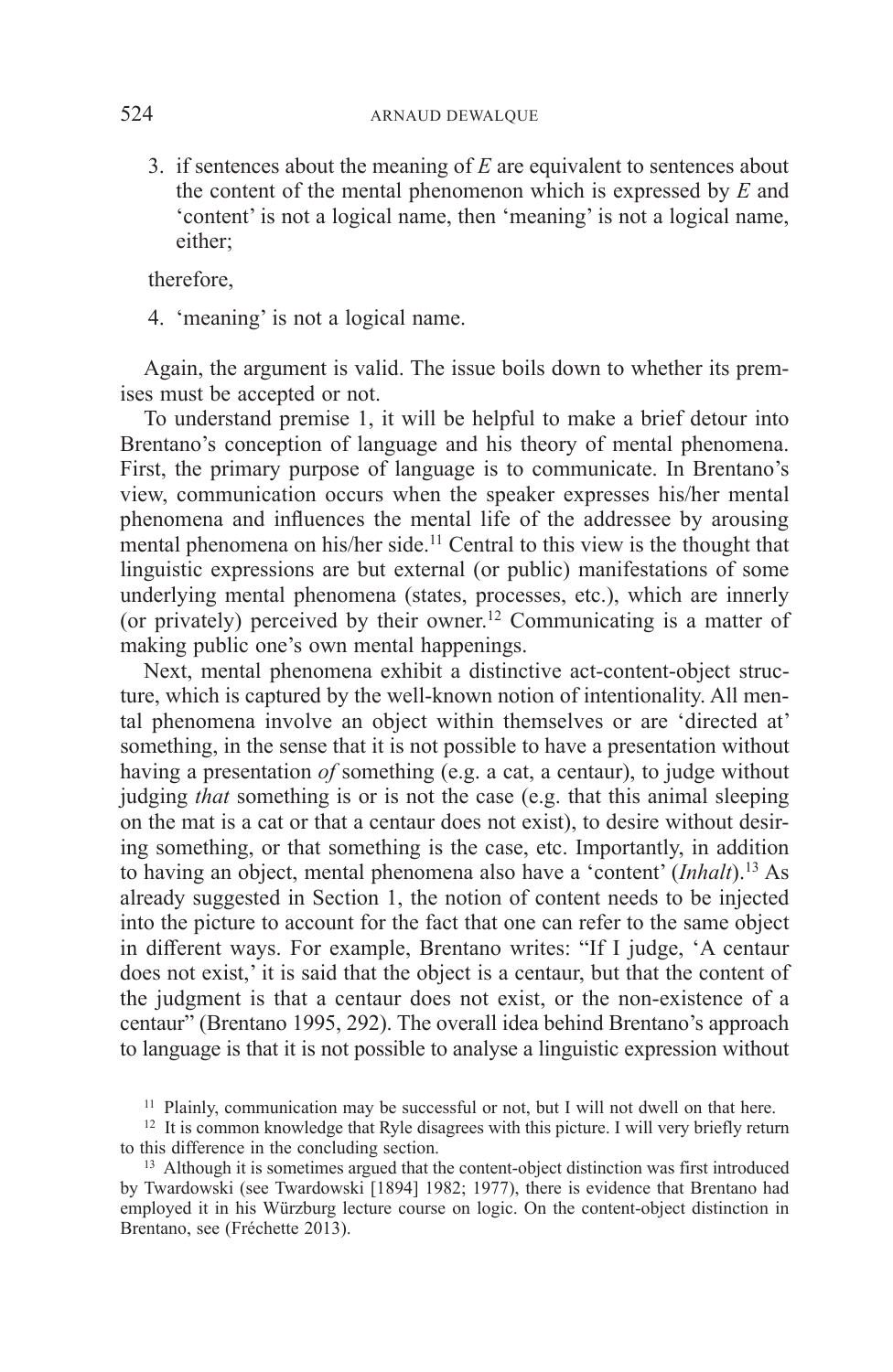3. if sentences about the meaning of *E* are equivalent to sentences about the content of the mental phenomenon which is expressed by *E* and 'content' is not a logical name, then 'meaning' is not a logical name, either;

therefore,

4. 'meaning' is not a logical name.

Again, the argument is valid. The issue boils down to whether its premises must be accepted or not.

To understand premise 1, it will be helpful to make a brief detour into Brentano's conception of language and his theory of mental phenomena. First, the primary purpose of language is to communicate. In Brentano's view, communication occurs when the speaker expresses his/her mental phenomena and influences the mental life of the addressee by arousing mental phenomena on his/her side.<sup>11</sup> Central to this view is the thought that linguistic expressions are but external (or public) manifestations of some underlying mental phenomena (states, processes, etc.), which are innerly (or privately) perceived by their owner.<sup>12</sup> Communicating is a matter of making public one's own mental happenings.

Next, mental phenomena exhibit a distinctive act-content-object structure, which is captured by the well-known notion of intentionality. All mental phenomena involve an object within themselves or are 'directed at' something, in the sense that it is not possible to have a presentation without having a presentation *of* something (e.g. a cat, a centaur), to judge without judging *that* something is or is not the case (e.g. that this animal sleeping on the mat is a cat or that a centaur does not exist), to desire without desiring something, or that something is the case, etc. Importantly, in addition to having an object, mental phenomena also have a 'content' (*Inhalt*).13 As already suggested in Section 1, the notion of content needs to be injected into the picture to account for the fact that one can refer to the same object in different ways. For example, Brentano writes: "If I judge, 'A centaur does not exist,' it is said that the object is a centaur, but that the content of the judgment is that a centaur does not exist, or the non-existence of a centaur" (Brentano 1995, 292). The overall idea behind Brentano's approach to language is that it is not possible to analyse a linguistic expression without

<sup>&</sup>lt;sup>11</sup> Plainly, communication may be successful or not, but I will not dwell on that here.

<sup>&</sup>lt;sup>12</sup> It is common knowledge that Ryle disagrees with this picture. I will very briefly return to this difference in the concluding section.

<sup>&</sup>lt;sup>13</sup> Although it is sometimes argued that the content-object distinction was first introduced by Twardowski (see Twardowski [1894] 1982; 1977), there is evidence that Brentano had employed it in his Würzburg lecture course on logic. On the content-object distinction in Brentano, see (Fréchette 2013).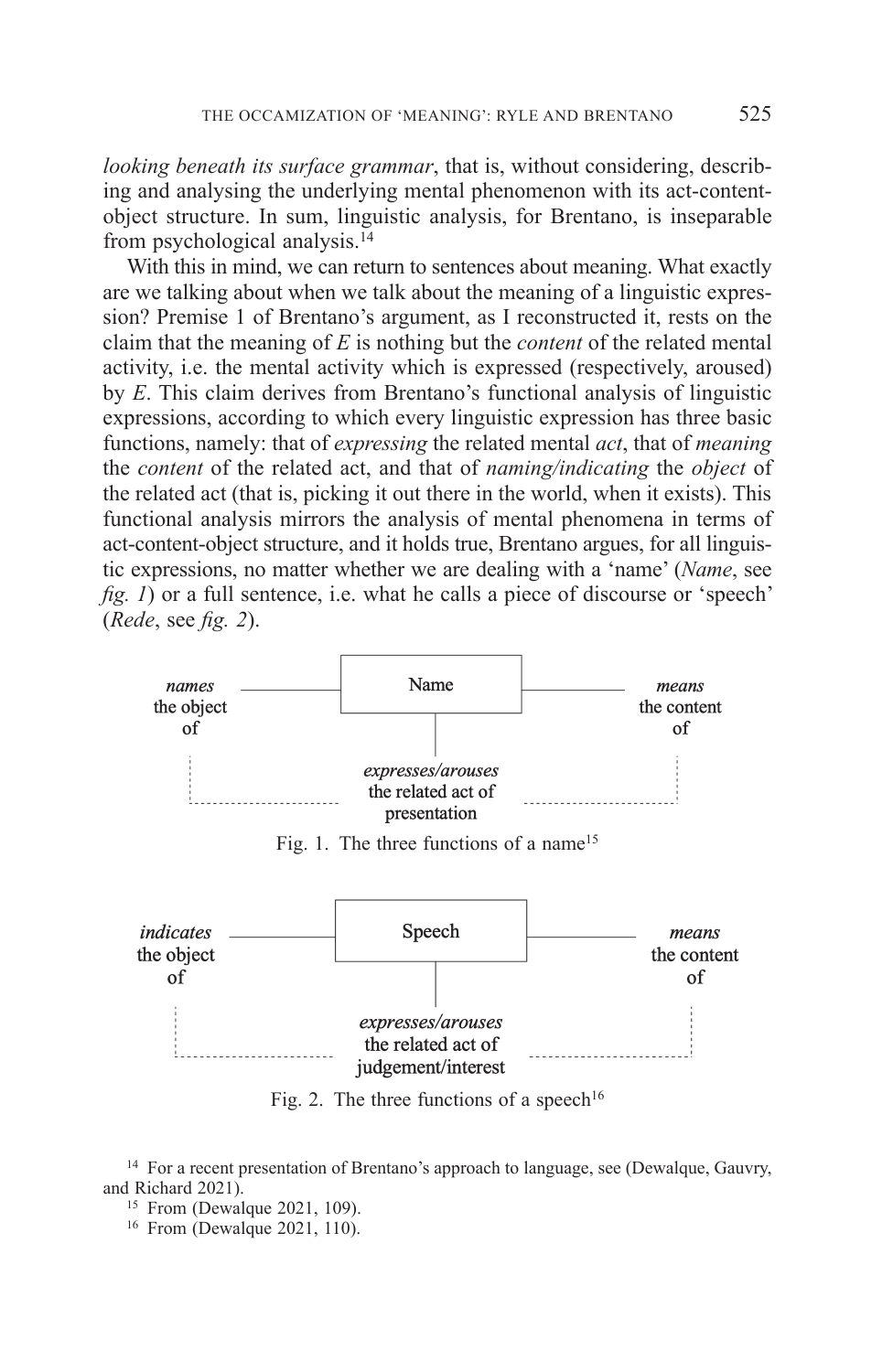*looking beneath its surface grammar*, that is, without considering, describing and analysing the underlying mental phenomenon with its act-contentobject structure. In sum, linguistic analysis, for Brentano, is inseparable from psychological analysis.14

With this in mind, we can return to sentences about meaning. What exactly are we talking about when we talk about the meaning of a linguistic expression? Premise 1 of Brentano's argument, as I reconstructed it, rests on the claim that the meaning of *E* is nothing but the *content* of the related mental activity, i.e. the mental activity which is expressed (respectively, aroused) by *E*. This claim derives from Brentano's functional analysis of linguistic expressions, according to which every linguistic expression has three basic functions, namely: that of *expressing* the related mental *act*, that of *meaning* the *content* of the related act, and that of *naming/indicating* the *object* of the related act (that is, picking it out there in the world, when it exists). This functional analysis mirrors the analysis of mental phenomena in terms of act-content-object structure, and it holds true, Brentano argues, for all linguistic expressions, no matter whether we are dealing with a 'name' (*Name*, see *fig. 1*) or a full sentence, i.e. what he calls a piece of discourse or 'speech' *(Rede, see fig. 2).* 



Fig. 1. The three functions of a name<sup>15</sup>



Fig. 2. The three functions of a speech<sup>16</sup>

<sup>14</sup> For a recent presentation of Brentano's approach to language, see (Dewalque, Gauvry, and Richard 2021).

<sup>15</sup> From (Dewalque 2021, 109).

<sup>16</sup> From (Dewalque 2021, 110).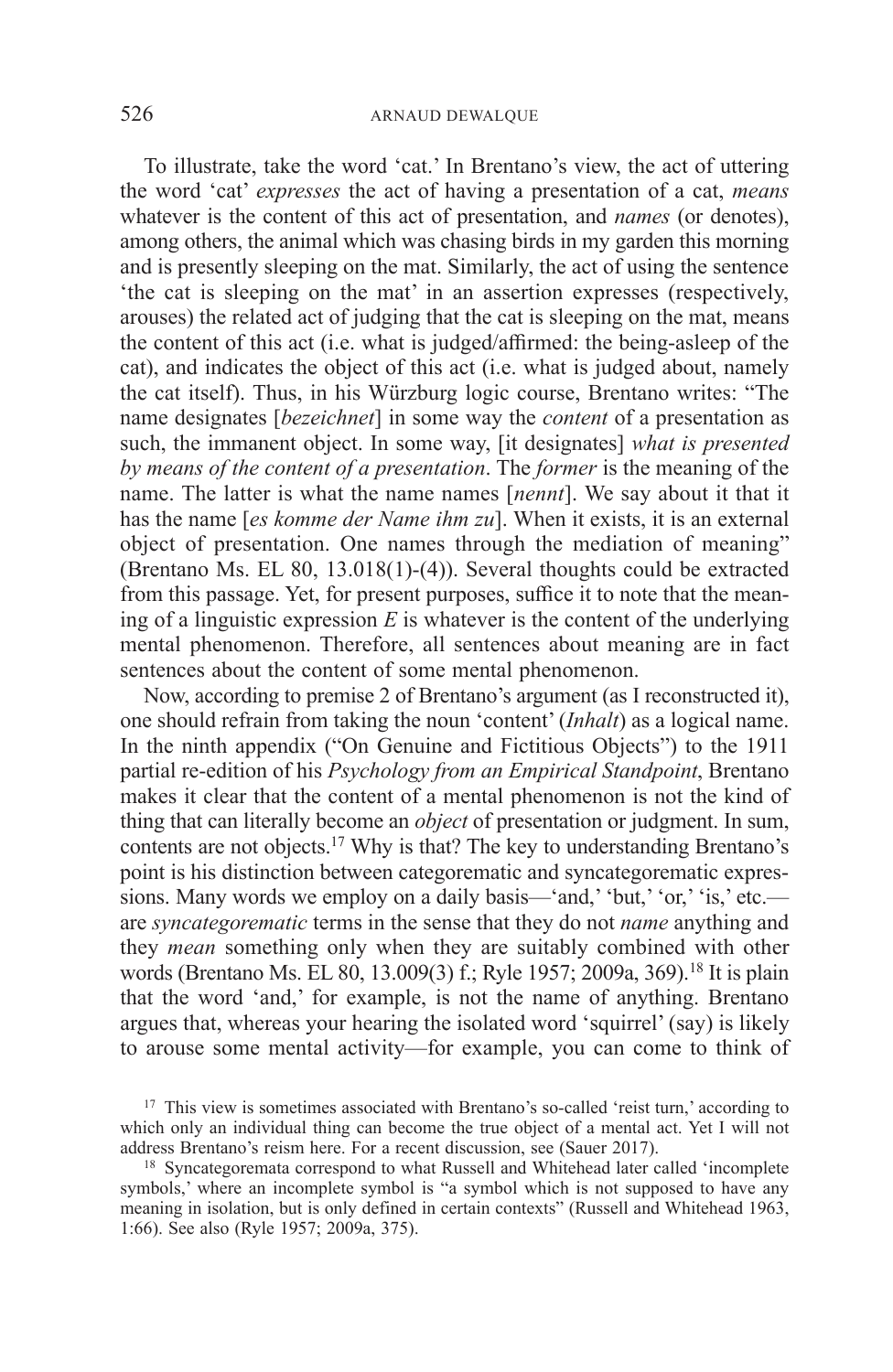To illustrate, take the word 'cat.' In Brentano's view, the act of uttering the word 'cat' *expresses* the act of having a presentation of a cat, *means* whatever is the content of this act of presentation, and *names* (or denotes), among others, the animal which was chasing birds in my garden this morning and is presently sleeping on the mat. Similarly, the act of using the sentence 'the cat is sleeping on the mat' in an assertion expresses (respectively, arouses) the related act of judging that the cat is sleeping on the mat, means the content of this act (i.e. what is judged/affirmed: the being-asleep of the cat), and indicates the object of this act (i.e. what is judged about, namely the cat itself). Thus, in his Würzburg logic course, Brentano writes: "The name designates [*bezeichnet*] in some way the *content* of a presentation as such, the immanent object. In some way, [it designates] *what is presented by means of the content of a presentation*. The *former* is the meaning of the name. The latter is what the name names [*nennt*]. We say about it that it has the name [*es komme der Name ihm zu*]. When it exists, it is an external object of presentation. One names through the mediation of meaning" (Brentano Ms. EL 80, 13.018(1)-(4)). Several thoughts could be extracted from this passage. Yet, for present purposes, suffice it to note that the meaning of a linguistic expression  $E$  is whatever is the content of the underlying mental phenomenon. Therefore, all sentences about meaning are in fact sentences about the content of some mental phenomenon.

Now, according to premise 2 of Brentano's argument (as I reconstructed it), one should refrain from taking the noun 'content' (*Inhalt*) as a logical name. In the ninth appendix ("On Genuine and Fictitious Objects") to the 1911 partial re-edition of his *Psychology from an Empirical Standpoint*, Brentano makes it clear that the content of a mental phenomenon is not the kind of thing that can literally become an *object* of presentation or judgment. In sum, contents are not objects.17 Why is that? The key to understanding Brentano's point is his distinction between categorematic and syncategorematic expressions. Many words we employ on a daily basis—'and,' 'but,' 'or,' 'is,' etc. are *syncategorematic* terms in the sense that they do not *name* anything and they *mean* something only when they are suitably combined with other words (Brentano Ms. EL 80, 13.009(3) f.; Ryle 1957; 2009a, 369).18 It is plain that the word 'and,' for example, is not the name of anything. Brentano argues that, whereas your hearing the isolated word 'squirrel' (say) is likely to arouse some mental activity—for example, you can come to think of

<sup>&</sup>lt;sup>17</sup> This view is sometimes associated with Brentano's so-called 'reist turn,' according to which only an individual thing can become the true object of a mental act. Yet I will not address Brentano's reism here. For a recent discussion, see (Sauer 2017).

<sup>&</sup>lt;sup>18</sup> Syncategoremata correspond to what Russell and Whitehead later called 'incomplete symbols,' where an incomplete symbol is "a symbol which is not supposed to have any meaning in isolation, but is only defined in certain contexts" (Russell and Whitehead 1963, 1:66). See also (Ryle 1957; 2009a, 375).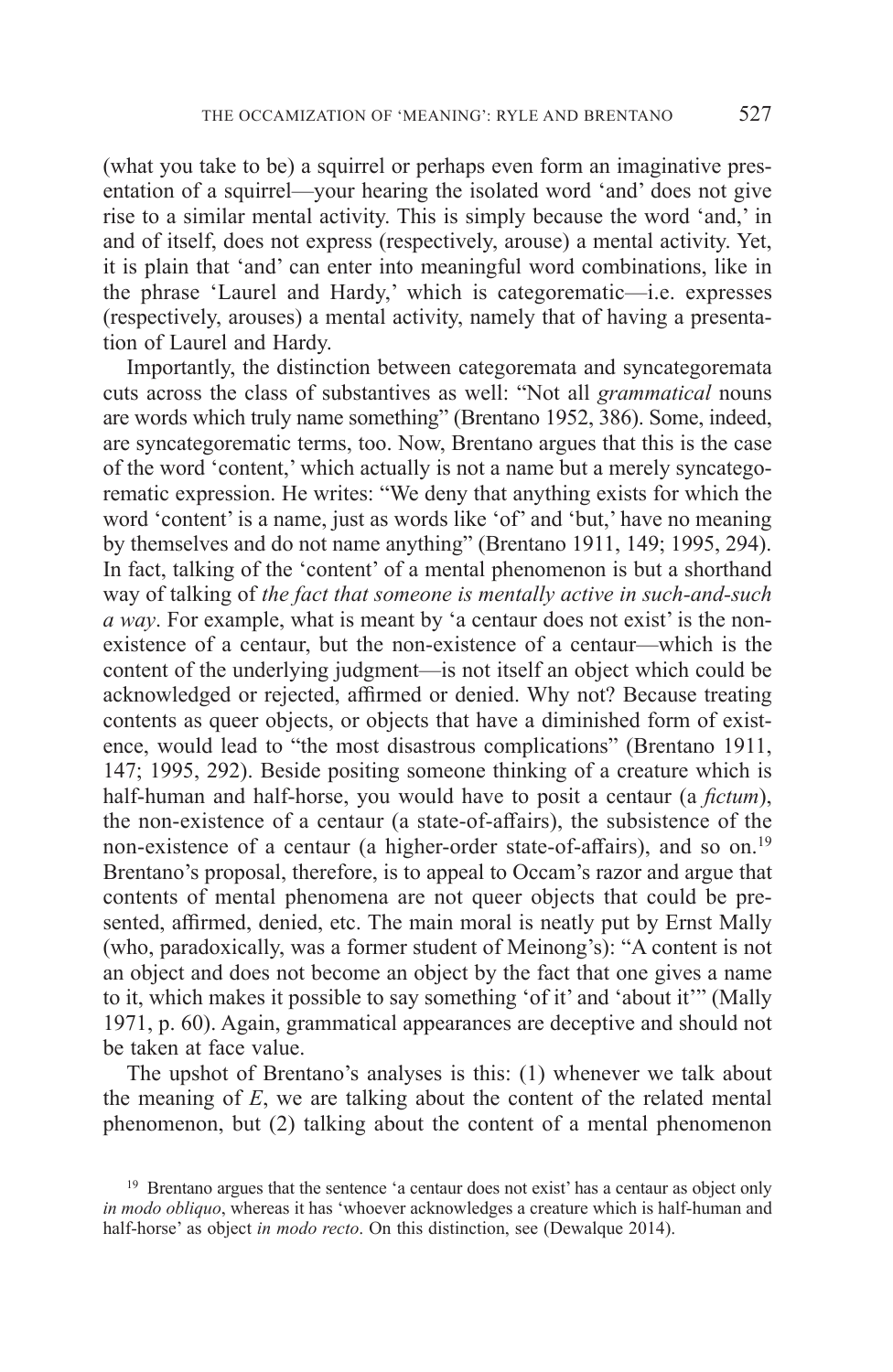(what you take to be) a squirrel or perhaps even form an imaginative presentation of a squirrel—your hearing the isolated word 'and' does not give rise to a similar mental activity. This is simply because the word 'and,' in and of itself, does not express (respectively, arouse) a mental activity. Yet, it is plain that 'and' can enter into meaningful word combinations, like in the phrase 'Laurel and Hardy,' which is categorematic—i.e. expresses (respectively, arouses) a mental activity, namely that of having a presentation of Laurel and Hardy.

Importantly, the distinction between categoremata and syncategoremata cuts across the class of substantives as well: "Not all *grammatical* nouns are words which truly name something" (Brentano 1952, 386). Some, indeed, are syncategorematic terms, too. Now, Brentano argues that this is the case of the word 'content,' which actually is not a name but a merely syncategorematic expression. He writes: "We deny that anything exists for which the word 'content' is a name, just as words like 'of' and 'but,' have no meaning by themselves and do not name anything" (Brentano 1911, 149; 1995, 294). In fact, talking of the 'content' of a mental phenomenon is but a shorthand way of talking of *the fact that someone is mentally active in such-and-such a way*. For example, what is meant by 'a centaur does not exist' is the nonexistence of a centaur, but the non-existence of a centaur—which is the content of the underlying judgment—is not itself an object which could be acknowledged or rejected, affirmed or denied. Why not? Because treating contents as queer objects, or objects that have a diminished form of existence, would lead to "the most disastrous complications" (Brentano 1911, 147; 1995, 292). Beside positing someone thinking of a creature which is half-human and half-horse, you would have to posit a centaur (a *fictum*), the non-existence of a centaur (a state-of-affairs), the subsistence of the non-existence of a centaur (a higher-order state-of-affairs), and so on.<sup>19</sup> Brentano's proposal, therefore, is to appeal to Occam's razor and argue that contents of mental phenomena are not queer objects that could be presented, affirmed, denied, etc. The main moral is neatly put by Ernst Mally (who, paradoxically, was a former student of Meinong's): "A content is not an object and does not become an object by the fact that one gives a name to it, which makes it possible to say something 'of it' and 'about it'" (Mally 1971, p. 60). Again, grammatical appearances are deceptive and should not be taken at face value.

The upshot of Brentano's analyses is this: (1) whenever we talk about the meaning of *E*, we are talking about the content of the related mental phenomenon, but (2) talking about the content of a mental phenomenon

<sup>&</sup>lt;sup>19</sup> Brentano argues that the sentence 'a centaur does not exist' has a centaur as object only *in modo obliquo*, whereas it has 'whoever acknowledges a creature which is half-human and half-horse' as object *in modo recto*. On this distinction, see (Dewalque 2014).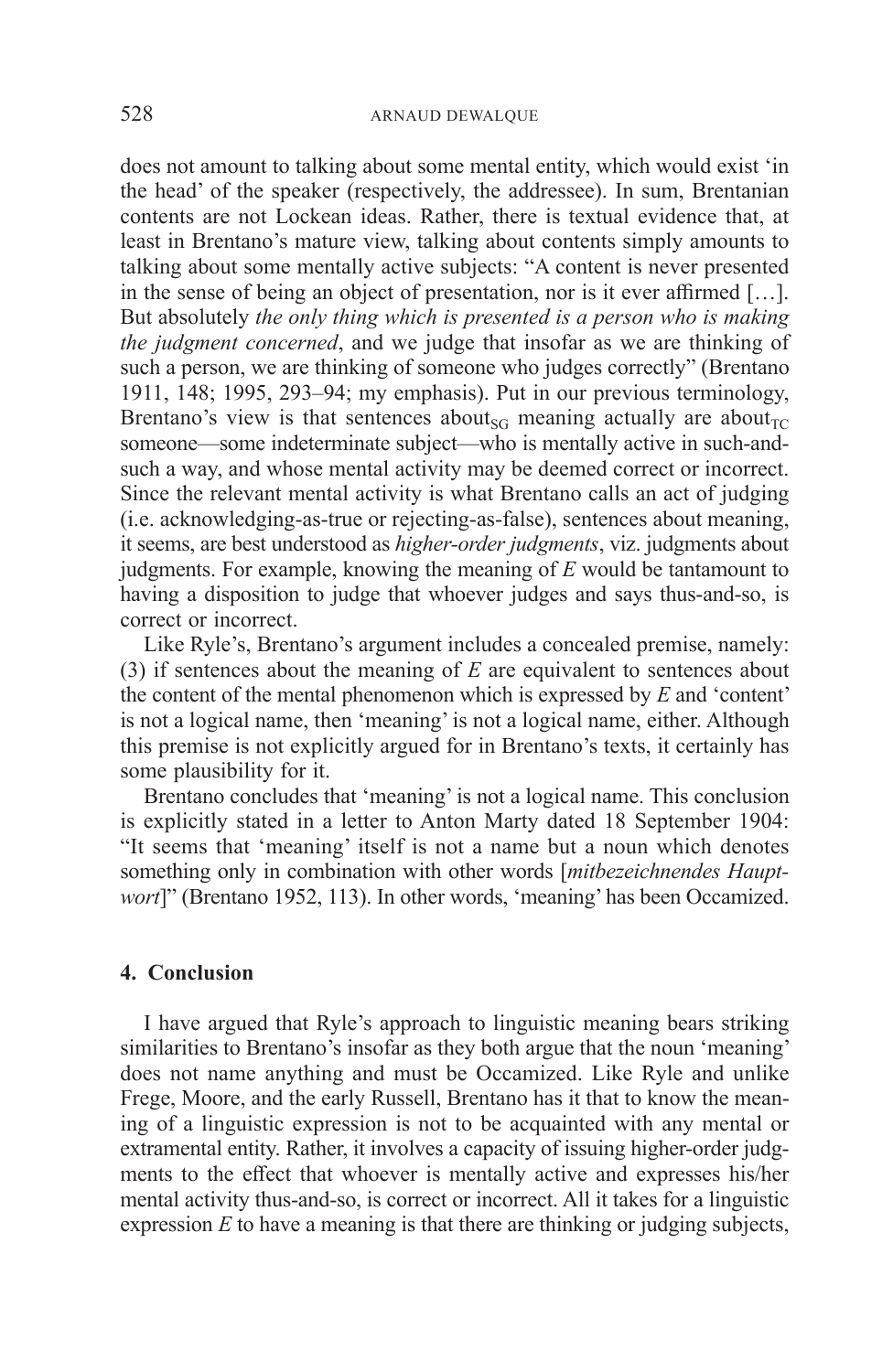does not amount to talking about some mental entity, which would exist 'in the head' of the speaker (respectively, the addressee). In sum, Brentanian contents are not Lockean ideas. Rather, there is textual evidence that, at least in Brentano's mature view, talking about contents simply amounts to talking about some mentally active subjects: "A content is never presented in the sense of being an object of presentation, nor is it ever affirmed […]. But absolutely *the only thing which is presented is a person who is making the judgment concerned*, and we judge that insofar as we are thinking of such a person, we are thinking of someone who judges correctly" (Brentano 1911, 148; 1995, 293–94; my emphasis). Put in our previous terminology, Brentano's view is that sentences about<sub>SG</sub> meaning actually are about<sub>TC</sub> someone—some indeterminate subject—who is mentally active in such-andsuch a way, and whose mental activity may be deemed correct or incorrect. Since the relevant mental activity is what Brentano calls an act of judging (i.e. acknowledging-as-true or rejecting-as-false), sentences about meaning, it seems, are best understood as *higher-order judgments*, viz. judgments about judgments. For example, knowing the meaning of *E* would be tantamount to having a disposition to judge that whoever judges and says thus-and-so, is correct or incorrect.

Like Ryle's, Brentano's argument includes a concealed premise, namely: (3) if sentences about the meaning of *E* are equivalent to sentences about the content of the mental phenomenon which is expressed by *E* and 'content' is not a logical name, then 'meaning' is not a logical name, either. Although this premise is not explicitly argued for in Brentano's texts, it certainly has some plausibility for it.

Brentano concludes that 'meaning' is not a logical name. This conclusion is explicitly stated in a letter to Anton Marty dated 18 September 1904: "It seems that 'meaning' itself is not a name but a noun which denotes something only in combination with other words [*mitbezeichnendes Hauptwort*]" (Brentano 1952, 113). In other words, 'meaning' has been Occamized.

### **4. Conclusion**

I have argued that Ryle's approach to linguistic meaning bears striking similarities to Brentano's insofar as they both argue that the noun 'meaning' does not name anything and must be Occamized. Like Ryle and unlike Frege, Moore, and the early Russell, Brentano has it that to know the meaning of a linguistic expression is not to be acquainted with any mental or extramental entity. Rather, it involves a capacity of issuing higher-order judgments to the effect that whoever is mentally active and expresses his/her mental activity thus-and-so, is correct or incorrect. All it takes for a linguistic expression *E* to have a meaning is that there are thinking or judging subjects,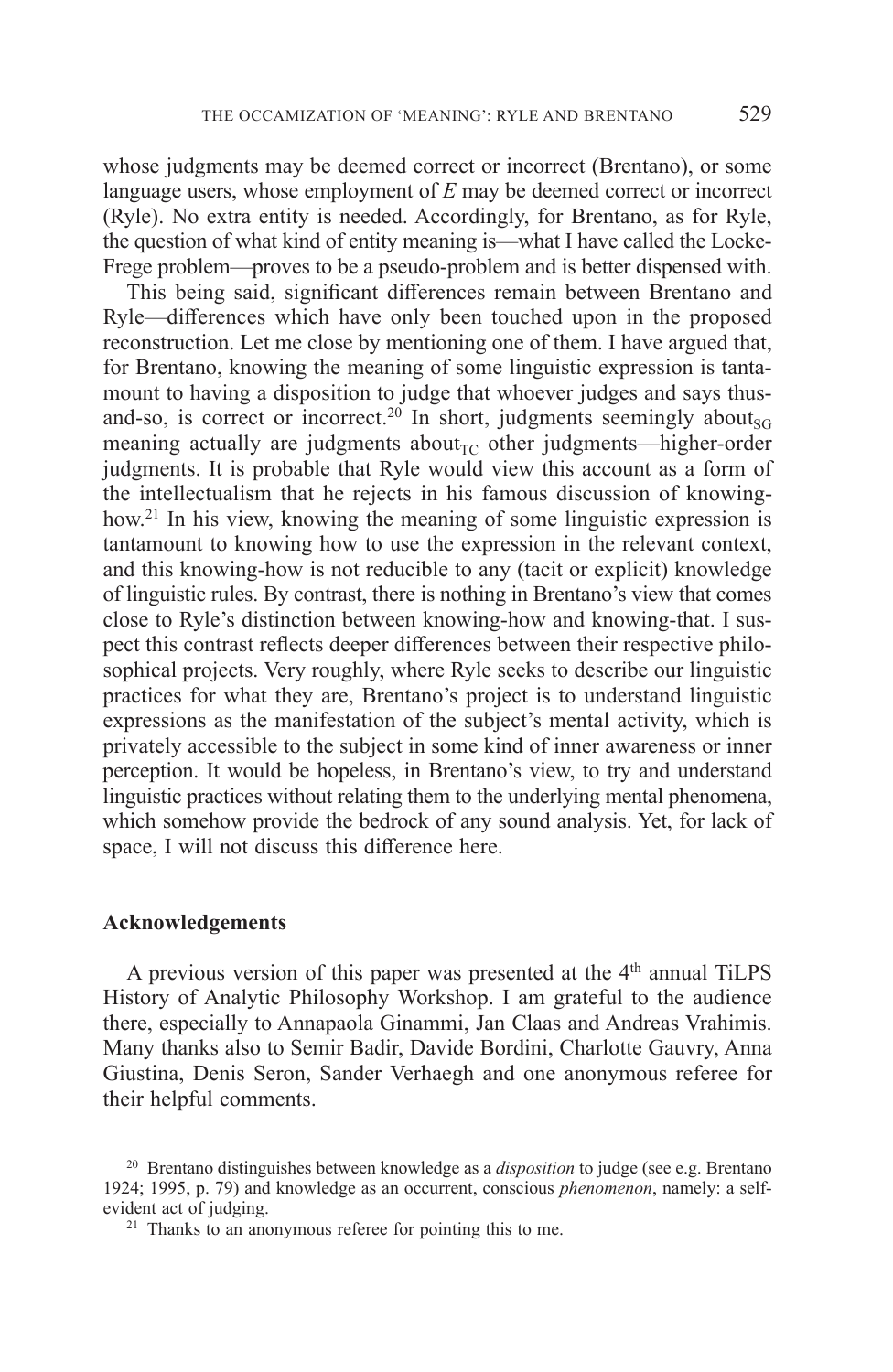whose judgments may be deemed correct or incorrect (Brentano), or some language users, whose employment of *E* may be deemed correct or incorrect (Ryle). No extra entity is needed. Accordingly, for Brentano, as for Ryle, the question of what kind of entity meaning is—what I have called the Locke-Frege problem—proves to be a pseudo-problem and is better dispensed with.

This being said, significant differences remain between Brentano and Ryle—differences which have only been touched upon in the proposed reconstruction. Let me close by mentioning one of them. I have argued that, for Brentano, knowing the meaning of some linguistic expression is tantamount to having a disposition to judge that whoever judges and says thusand-so, is correct or incorrect.<sup>20</sup> In short, judgments seemingly about<sub>SG</sub> meaning actually are judgments about<sub> $\Gamma$ C</sub> other judgments—higher-order judgments. It is probable that Ryle would view this account as a form of the intellectualism that he rejects in his famous discussion of knowinghow.<sup>21</sup> In his view, knowing the meaning of some linguistic expression is tantamount to knowing how to use the expression in the relevant context, and this knowing-how is not reducible to any (tacit or explicit) knowledge of linguistic rules. By contrast, there is nothing in Brentano's view that comes close to Ryle's distinction between knowing-how and knowing-that. I suspect this contrast reflects deeper differences between their respective philosophical projects. Very roughly, where Ryle seeks to describe our linguistic practices for what they are, Brentano's project is to understand linguistic expressions as the manifestation of the subject's mental activity, which is privately accessible to the subject in some kind of inner awareness or inner perception. It would be hopeless, in Brentano's view, to try and understand linguistic practices without relating them to the underlying mental phenomena, which somehow provide the bedrock of any sound analysis. Yet, for lack of space, I will not discuss this difference here.

#### **Acknowledgements**

A previous version of this paper was presented at the  $4<sup>th</sup>$  annual TiLPS History of Analytic Philosophy Workshop. I am grateful to the audience there, especially to Annapaola Ginammi, Jan Claas and Andreas Vrahimis. Many thanks also to Semir Badir, Davide Bordini, Charlotte Gauvry, Anna Giustina, Denis Seron, Sander Verhaegh and one anonymous referee for their helpful comments.

<sup>20</sup> Brentano distinguishes between knowledge as a *disposition* to judge (see e.g. Brentano 1924; 1995, p. 79) and knowledge as an occurrent, conscious *phenomenon*, namely: a selfevident act of judging.

 $21$  Thanks to an anonymous referee for pointing this to me.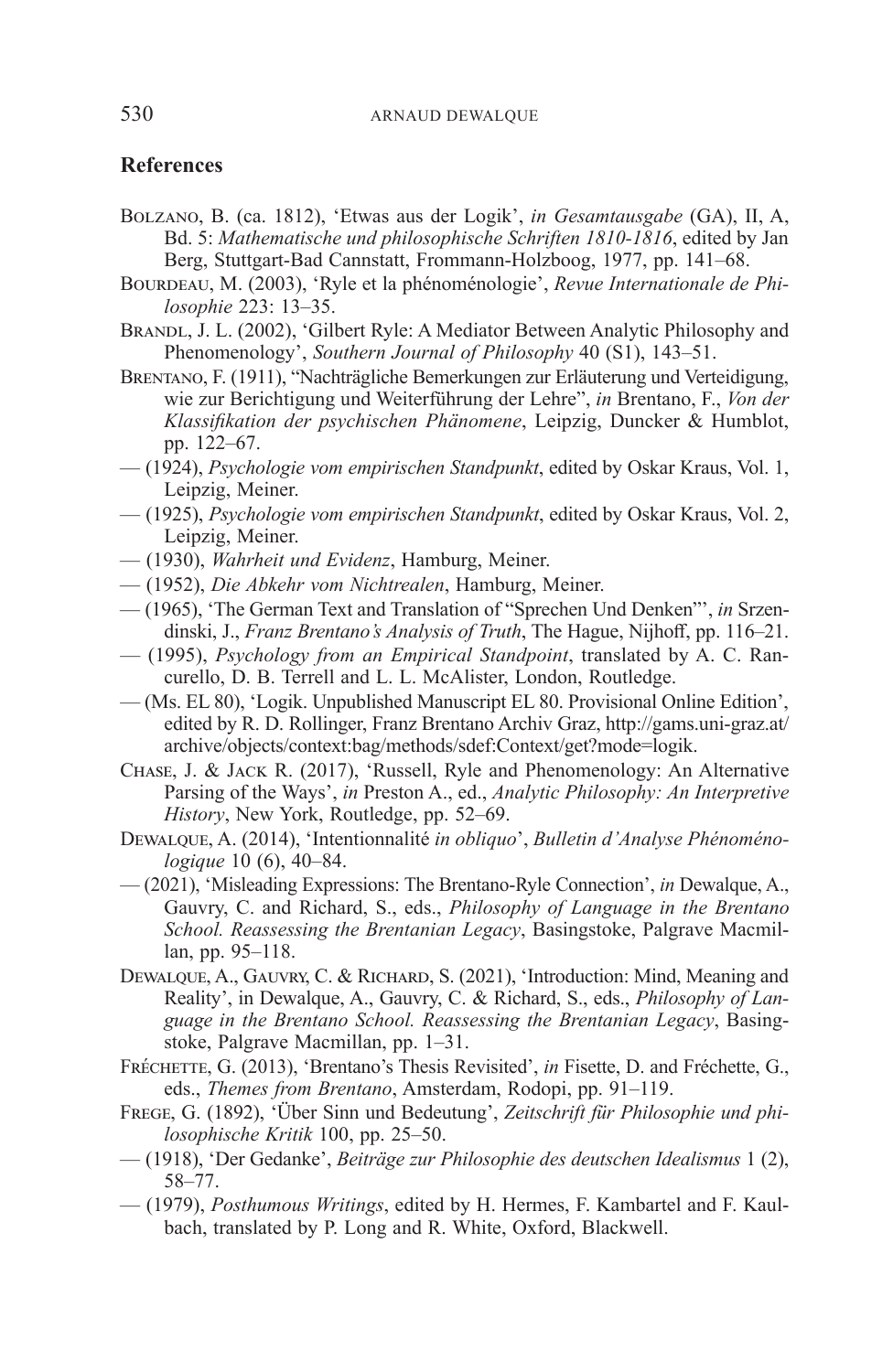## **References**

- Bolzano, B. (ca. 1812), 'Etwas aus der Logik', *in Gesamtausgabe* (GA), II, A, Bd. 5: *Mathematische und philosophische Schriften 1810-1816*, edited by Jan Berg, Stuttgart-Bad Cannstatt, Frommann-Holzboog, 1977, pp. 141–68.
- BOURDEAU, M. (2003), 'Ryle et la phénoménologie', *Revue Internationale de Philosophie* 223: 13–35.
- BRANDL, J. L. (2002), 'Gilbert Ryle: A Mediator Between Analytic Philosophy and Phenomenology', *Southern Journal of Philosophy* 40 (S1), 143–51.
- Brentano, F. (1911), "Nachträgliche Bemerkungen zur Erläuterung und Verteidigung, wie zur Berichtigung und Weiterführung der Lehre", *in* Brentano, F., *Von der Klassifikation der psychischen Phänomene*, Leipzig, Duncker & Humblot, pp. 122–67.
- (1924), *Psychologie vom empirischen Standpunkt*, edited by Oskar Kraus, Vol. 1, Leipzig, Meiner.
- (1925), *Psychologie vom empirischen Standpunkt*, edited by Oskar Kraus, Vol. 2, Leipzig, Meiner.
- (1930), *Wahrheit und Evidenz*, Hamburg, Meiner.
- (1952), *Die Abkehr vom Nichtrealen*, Hamburg, Meiner.
- (1965), 'The German Text and Translation of "Sprechen Und Denken"', *in* Srzendinski, J., *Franz Brentano's Analysis of Truth*, The Hague, Nijhoff, pp. 116–21.
- (1995), *Psychology from an Empirical Standpoint*, translated by A. C. Rancurello, D. B. Terrell and L. L. McAlister, London, Routledge.
- (Ms. EL 80), 'Logik. Unpublished Manuscript EL 80. Provisional Online Edition', edited by R. D. Rollinger, Franz Brentano Archiv Graz, http://gams.uni-graz.at/ archive/objects/context:bag/methods/sdef:Context/get?mode=logik.
- Chase, J. & Jack R. (2017), 'Russell, Ryle and Phenomenology: An Alternative Parsing of the Ways', *in* Preston A., ed., *Analytic Philosophy: An Interpretive History*, New York, Routledge, pp. 52–69.
- Dewalque, A. (2014), 'Intentionnalité *in obliquo*', *Bulletin d'Analyse Phénoménologique* 10 (6), 40–84.
- (2021), 'Misleading Expressions: The Brentano-Ryle Connection', *in* Dewalque, A., Gauvry, C. and Richard, S., eds., *Philosophy of Language in the Brentano School. Reassessing the Brentanian Legacy*, Basingstoke, Palgrave Macmillan, pp. 95–118.
- DEWALQUE, A., GAUVRY, C. & RICHARD, S. (2021), 'Introduction: Mind, Meaning and Reality', in Dewalque, A., Gauvry, C. & Richard, S., eds., *Philosophy of Language in the Brentano School. Reassessing the Brentanian Legacy*, Basingstoke, Palgrave Macmillan, pp. 1–31.
- Fréchette, G. (2013), 'Brentano's Thesis Revisited', *in* Fisette, D. and Fréchette, G., eds., *Themes from Brentano*, Amsterdam, Rodopi, pp. 91–119.
- Frege, G. (1892), 'Über Sinn und Bedeutung', *Zeitschrift für Philosophie und philosophische Kritik* 100, pp. 25–50.
- (1918), 'Der Gedanke', *Beiträge zur Philosophie des deutschen Idealismus* 1 (2), 58–77.
- (1979), *Posthumous Writings*, edited by H. Hermes, F. Kambartel and F. Kaulbach, translated by P. Long and R. White, Oxford, Blackwell.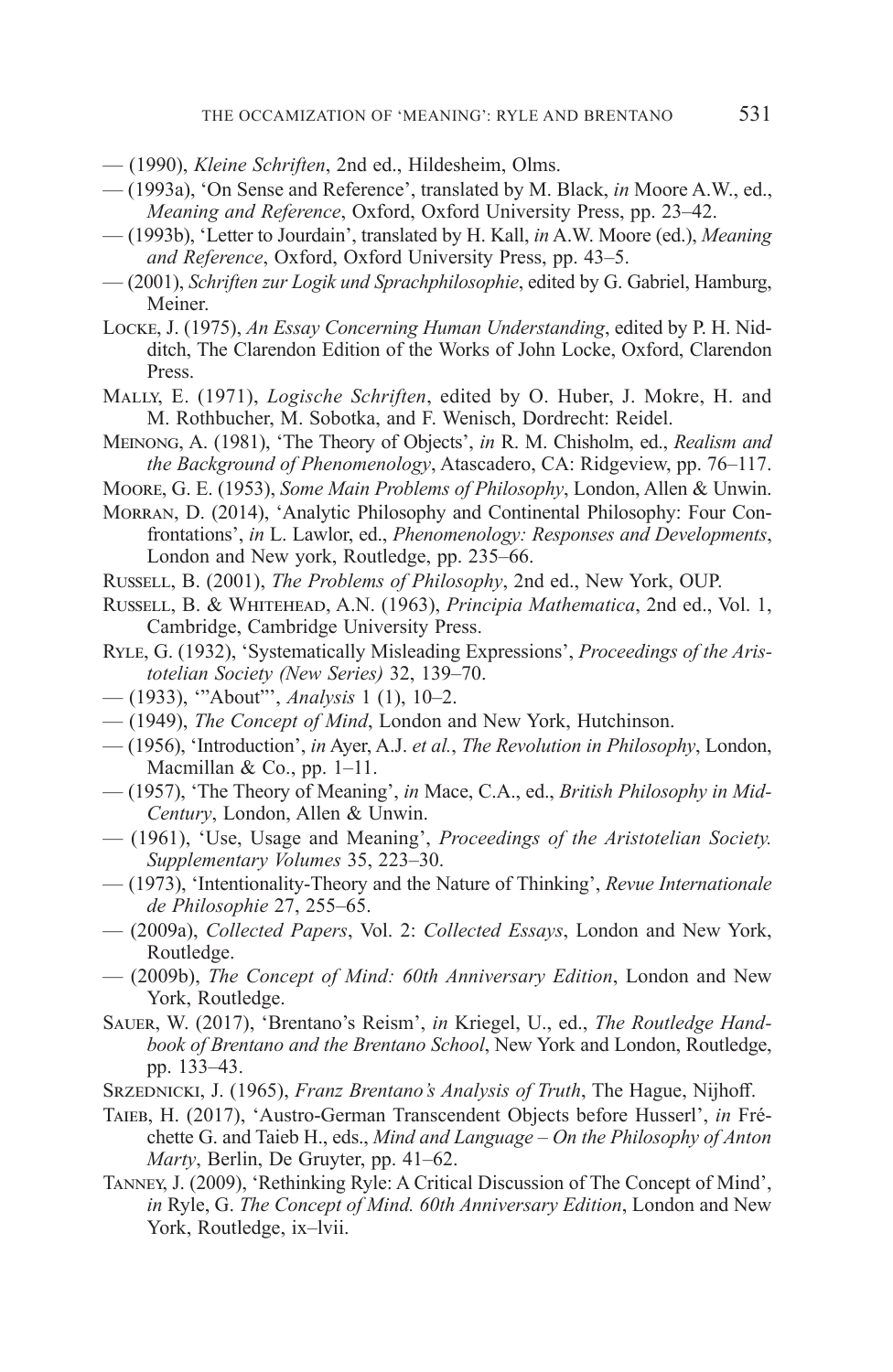- (1990), *Kleine Schriften*, 2nd ed., Hildesheim, Olms.
- (1993a), 'On Sense and Reference', translated by M. Black, *in* Moore A.W., ed., *Meaning and Reference*, Oxford, Oxford University Press, pp. 23–42.
- (1993b), 'Letter to Jourdain', translated by H. Kall, *in* A.W. Moore (ed.), *Meaning and Reference*, Oxford, Oxford University Press, pp. 43–5.
- (2001), *Schriften zur Logik und Sprachphilosophie*, edited by G. Gabriel, Hamburg, Meiner.
- Locke, J. (1975), *An Essay Concerning Human Understanding*, edited by P. H. Nidditch, The Clarendon Edition of the Works of John Locke, Oxford, Clarendon Press.
- Mally, E. (1971), *Logische Schriften*, edited by O. Huber, J. Mokre, H. and M. Rothbucher, M. Sobotka, and F. Wenisch, Dordrecht: Reidel.
- Meinong, A. (1981), 'The Theory of Objects', *in* R. M. Chisholm, ed., *Realism and the Background of Phenomenology*, Atascadero, CA: Ridgeview, pp. 76–117.
- Moore, G. E. (1953), *Some Main Problems of Philosophy*, London, Allen & Unwin.
- Morran, D. (2014), 'Analytic Philosophy and Continental Philosophy: Four Confrontations', *in* L. Lawlor, ed., *Phenomenology: Responses and Developments*, London and New york, Routledge, pp. 235–66.
- Russell, B. (2001), *The Problems of Philosophy*, 2nd ed., New York, OUP.
- Russell, B. & Whitehead, A.N. (1963), *Principia Mathematica*, 2nd ed., Vol. 1, Cambridge, Cambridge University Press.
- Ryle, G. (1932), 'Systematically Misleading Expressions', *Proceedings of the Aristotelian Society (New Series)* 32, 139–70.
- (1933), '"About"', *Analysis* 1 (1), 10–2.
- (1949), *The Concept of Mind*, London and New York, Hutchinson.
- (1956), 'Introduction', *in* Ayer, A.J. *et al.*, *The Revolution in Philosophy*, London, Macmillan & Co., pp. 1–11.
- (1957), 'The Theory of Meaning', *in* Mace, C.A., ed., *British Philosophy in Mid-Century*, London, Allen & Unwin.
- (1961), 'Use, Usage and Meaning', *Proceedings of the Aristotelian Society. Supplementary Volumes* 35, 223–30.
- (1973), 'Intentionality-Theory and the Nature of Thinking', *Revue Internationale de Philosophie* 27, 255–65.
- (2009a), *Collected Papers*, Vol. 2: *Collected Essays*, London and New York, Routledge.
- (2009b), *The Concept of Mind: 60th Anniversary Edition*, London and New York, Routledge.
- Sauer, W. (2017), 'Brentano's Reism', *in* Kriegel, U., ed., *The Routledge Handbook of Brentano and the Brentano School*, New York and London, Routledge, pp. 133–43.
- Srzednicki, J. (1965), *Franz Brentano's Analysis of Truth*, The Hague, Nijhoff.
- Taieb, H. (2017), 'Austro-German Transcendent Objects before Husserl', *in* Fréchette G. and Taieb H., eds., *Mind and Language – On the Philosophy of Anton Marty*, Berlin, De Gruyter, pp. 41–62.
- Tanney, J. (2009), 'Rethinking Ryle: A Critical Discussion of The Concept of Mind', *in* Ryle, G. *The Concept of Mind. 60th Anniversary Edition*, London and New York, Routledge, ix–lvii.